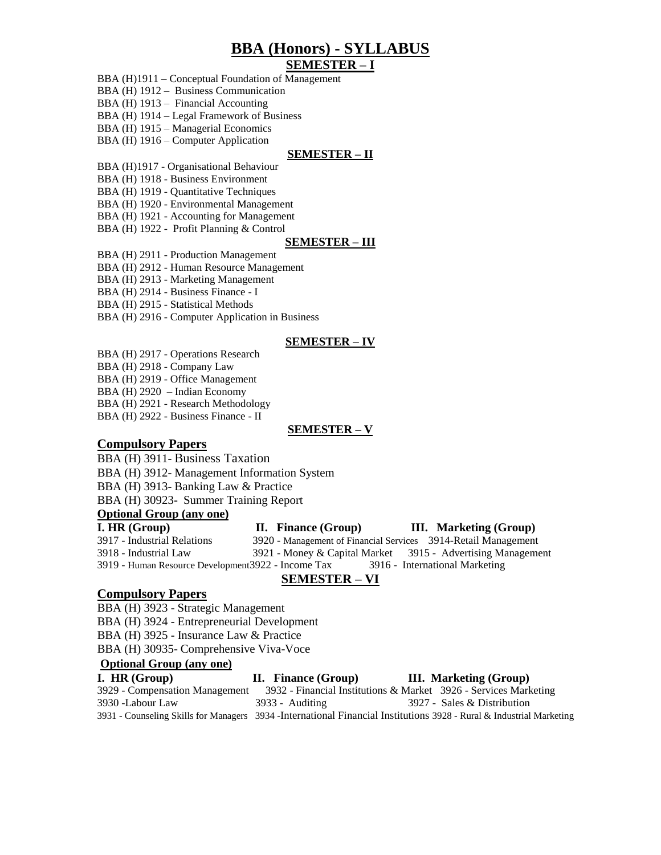# **BBA (Honors) - SYLLABUS**

# **SEMESTER – I**

BBA (H)1911 – Conceptual Foundation of Management

BBA (H) 1912 – Business Communication

BBA (H) 1913 – Financial Accounting

BBA (H) 1914 – Legal Framework of Business

BBA (H) 1915 – Managerial Economics

BBA (H) 1916 – Computer Application

#### **SEMESTER – II**

BBA (H)1917 - Organisational Behaviour

BBA (H) 1918 - Business Environment

BBA (H) 1919 - Quantitative Techniques

BBA (H) 1920 - Environmental Management

BBA (H) 1921 - Accounting for Management

BBA (H) 1922 - Profit Planning & Control

#### **SEMESTER – III**

BBA (H) 2911 - Production Management

BBA (H) 2912 - Human Resource Management

BBA (H) 2913 - Marketing Management

BBA (H) 2914 - Business Finance - I

BBA (H) 2915 - Statistical Methods

BBA (H) 2916 - Computer Application in Business

#### **SEMESTER – IV**

BBA (H) 2917 - Operations Research

BBA (H) 2918 - Company Law

BBA (H) 2919 - Office Management

BBA (H) 2920 – Indian Economy

BBA (H) 2921 - Research Methodology

BBA (H) 2922 - Business Finance - II

#### **SEMESTER – V**

#### **Compulsory Papers**

BBA (H) 3911- Business Taxation

BBA (H) 3912- Management Information System

BBA (H) 3913- Banking Law & Practice

BBA (H) 30923- Summer Training Report

#### **Optional Group (any one)**

**I. HR (Group) II. Finance (Group) III. Marketing (Group)** 3917 - Industrial Relations 3920 - Management of Financial Services 3914-Retail Management 3918 - Industrial Law 3921 - Money & Capital Market 3915 - Advertising Management

3919 - Human Resource Development3922 - Income Tax 3916 - International Marketing

# **SEMESTER – VI**

#### **Compulsory Papers**

BBA (H) 3923 - Strategic Management BBA (H) 3924 - Entrepreneurial Development BBA (H) 3925 - Insurance Law & Practice BBA (H) 30935- Comprehensive Viva-Voce

#### **Optional Group (any one)**

#### **I. HR (Group) II. Finance (Group) III. Marketing (Group)**

3929 - Compensation Management 3932 - Financial Institutions & Market 3926 - Services Marketing

3930 -Labour Law 3933 - Auditing 3927 - Sales & Distribution 3931 - Counseling Skills for Managers 3934 -International Financial Institutions 3928 - Rural & Industrial Marketing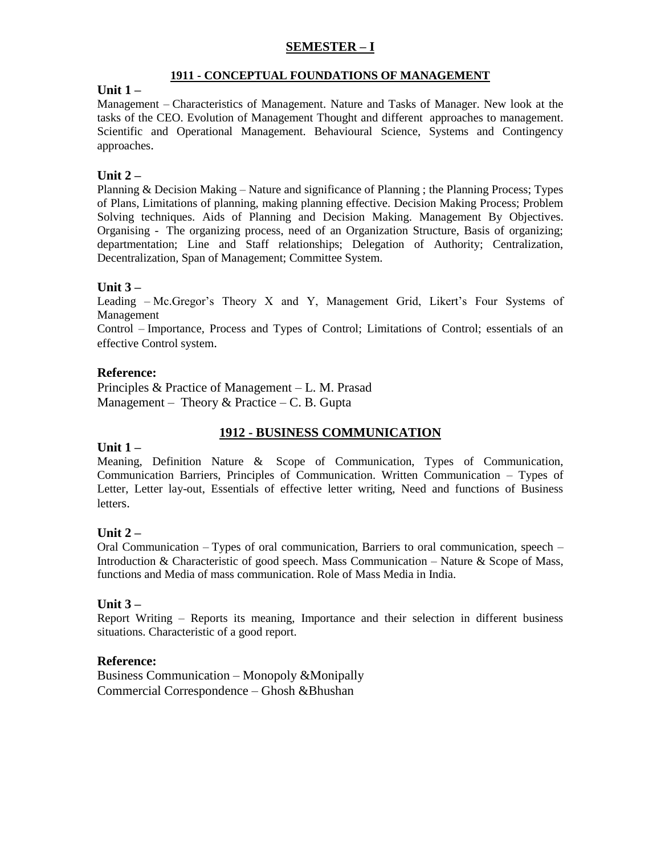# **SEMESTER – I**

## **1911 - CONCEPTUAL FOUNDATIONS OF MANAGEMENT**

#### **Unit 1 –**

Management – Characteristics of Management. Nature and Tasks of Manager. New look at the tasks of the CEO. Evolution of Management Thought and different approaches to management. Scientific and Operational Management. Behavioural Science, Systems and Contingency approaches.

## **Unit 2 –**

Planning & Decision Making – Nature and significance of Planning; the Planning Process; Types of Plans, Limitations of planning, making planning effective. Decision Making Process; Problem Solving techniques. Aids of Planning and Decision Making. Management By Objectives. Organising - The organizing process, need of an Organization Structure, Basis of organizing; departmentation; Line and Staff relationships; Delegation of Authority; Centralization, Decentralization, Span of Management; Committee System.

#### **Unit 3 –**

Leading – Mc.Gregor's Theory X and Y, Management Grid, Likert's Four Systems of Management

Control – Importance, Process and Types of Control; Limitations of Control; essentials of an effective Control system.

#### **Reference:**

Principles & Practice of Management – L. M. Prasad Management – Theory  $&$  Practice – C. B. Gupta

## **1912 - BUSINESS COMMUNICATION**

#### **Unit 1 –**

Meaning, Definition Nature & Scope of Communication, Types of Communication, Communication Barriers, Principles of Communication. Written Communication – Types of Letter, Letter lay-out, Essentials of effective letter writing, Need and functions of Business letters.

## **Unit 2 –**

Oral Communication – Types of oral communication, Barriers to oral communication, speech – Introduction & Characteristic of good speech. Mass Communication – Nature & Scope of Mass, functions and Media of mass communication. Role of Mass Media in India.

#### **Unit 3 –**

Report Writing – Reports its meaning, Importance and their selection in different business situations. Characteristic of a good report.

#### **Reference:**

Business Communication – Monopoly &Monipally Commercial Correspondence – Ghosh &Bhushan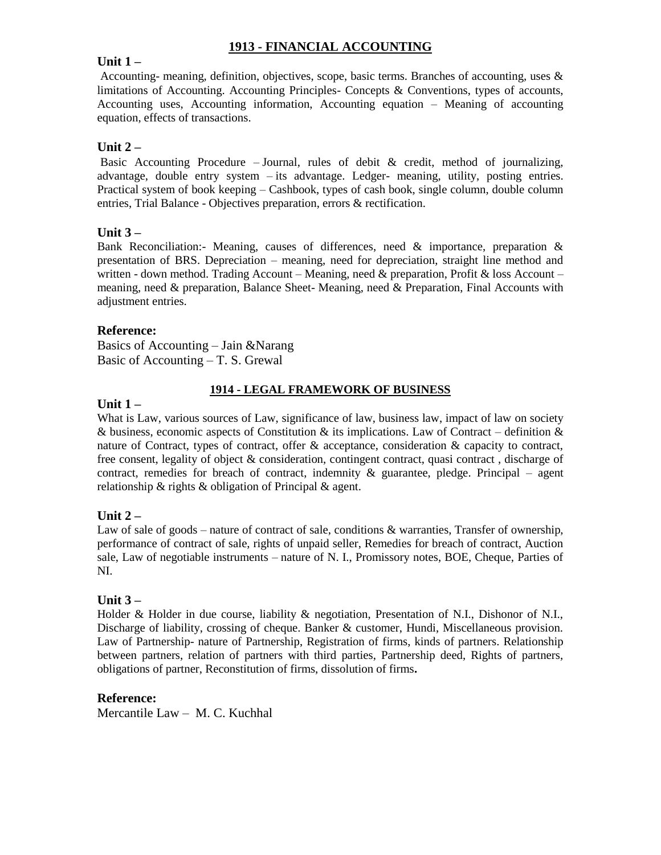# **1913 - FINANCIAL ACCOUNTING**

## **Unit 1 –**

Accounting- meaning, definition, objectives, scope, basic terms. Branches of accounting, uses & limitations of Accounting. Accounting Principles- Concepts & Conventions, types of accounts, Accounting uses, Accounting information, Accounting equation – Meaning of accounting equation, effects of transactions.

## **Unit 2 –**

Basic Accounting Procedure – Journal, rules of debit  $\&$  credit, method of journalizing, advantage, double entry system – its advantage. Ledger- meaning, utility, posting entries. Practical system of book keeping – Cashbook, types of cash book, single column, double column entries, Trial Balance - Objectives preparation, errors & rectification.

## **Unit 3 –**

Bank Reconciliation:- Meaning, causes of differences, need  $\&$  importance, preparation  $\&$ presentation of BRS. Depreciation – meaning, need for depreciation, straight line method and written - down method. Trading Account – Meaning, need  $\&$  preparation, Profit  $\&$  loss Account – meaning, need & preparation, Balance Sheet- Meaning, need & Preparation, Final Accounts with adjustment entries.

#### **Reference:**

Basics of Accounting – Jain &Narang Basic of Accounting – T. S. Grewal

#### **1914 - LEGAL FRAMEWORK OF BUSINESS**

#### **Unit 1 –**

What is Law, various sources of Law, significance of law, business law, impact of law on society & business, economic aspects of Constitution & its implications. Law of Contract – definition & nature of Contract, types of contract, offer & acceptance, consideration & capacity to contract, free consent, legality of object & consideration, contingent contract, quasi contract , discharge of contract, remedies for breach of contract, indemnity  $\&$  guarantee, pledge. Principal – agent relationship & rights & obligation of Principal & agent.

## **Unit 2 –**

Law of sale of goods – nature of contract of sale, conditions & warranties, Transfer of ownership, performance of contract of sale, rights of unpaid seller, Remedies for breach of contract, Auction sale, Law of negotiable instruments – nature of N. I., Promissory notes, BOE, Cheque, Parties of NI.

#### **Unit 3 –**

Holder & Holder in due course, liability & negotiation, Presentation of N.I., Dishonor of N.I., Discharge of liability, crossing of cheque. Banker & customer, Hundi, Miscellaneous provision. Law of Partnership- nature of Partnership, Registration of firms, kinds of partners. Relationship between partners, relation of partners with third parties, Partnership deed, Rights of partners, obligations of partner, Reconstitution of firms, dissolution of firms**.** 

#### **Reference:**

Mercantile Law – M. C. Kuchhal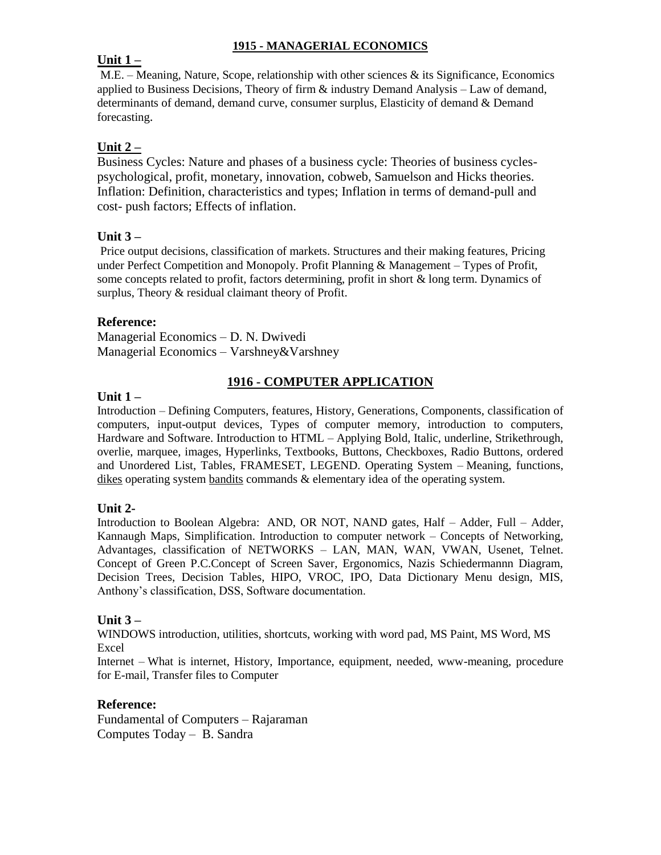## **1915 - MANAGERIAL ECONOMICS**

## **Unit 1 –**

 $M.E. - Meaning, Nature, Scope, relationship with other sciences & its Significance, Economics$ applied to Business Decisions, Theory of firm & industry Demand Analysis – Law of demand, determinants of demand, demand curve, consumer surplus, Elasticity of demand & Demand forecasting.

# **Unit 2 –**

Business Cycles: Nature and phases of a business cycle: Theories of business cyclespsychological, profit, monetary, innovation, cobweb, Samuelson and Hicks theories. Inflation: Definition, characteristics and types; Inflation in terms of demand-pull and cost- push factors; Effects of inflation.

## **Unit 3 –**

Price output decisions, classification of markets. Structures and their making features, Pricing under Perfect Competition and Monopoly. Profit Planning  $&$  Management – Types of Profit, some concepts related to profit, factors determining, profit in short & long term. Dynamics of surplus, Theory & residual claimant theory of Profit.

## **Reference:**

Managerial Economics – D. N. Dwivedi Managerial Economics – Varshney&Varshney

## **1916 - COMPUTER APPLICATION**

#### **Unit 1 –**

Introduction – Defining Computers, features, History, Generations, Components, classification of computers, input-output devices, Types of computer memory, introduction to computers, Hardware and Software. Introduction to HTML – Applying Bold, Italic, underline, Strikethrough, overlie, marquee, images, Hyperlinks, Textbooks, Buttons, Checkboxes, Radio Buttons, ordered and Unordered List, Tables, FRAMESET, LEGEND. Operating System – Meaning, functions, dikes operating system bandits commands & elementary idea of the operating system.

## **Unit 2-**

Introduction to Boolean Algebra: AND, OR NOT, NAND gates, Half – Adder, Full – Adder, Kannaugh Maps, Simplification. Introduction to computer network – Concepts of Networking, Advantages, classification of NETWORKS – LAN, MAN, WAN, VWAN, Usenet, Telnet. Concept of Green P.C.Concept of Screen Saver, Ergonomics, Nazis Schiedermannn Diagram, Decision Trees, Decision Tables, HIPO, VROC, IPO, Data Dictionary Menu design, MIS, Anthony's classification, DSS, Software documentation.

## **Unit 3 –**

WINDOWS introduction, utilities, shortcuts, working with word pad, MS Paint, MS Word, MS Excel

Internet – What is internet, History, Importance, equipment, needed, www-meaning, procedure for E-mail, Transfer files to Computer

## **Reference:**

Fundamental of Computers – Rajaraman Computes Today – B. Sandra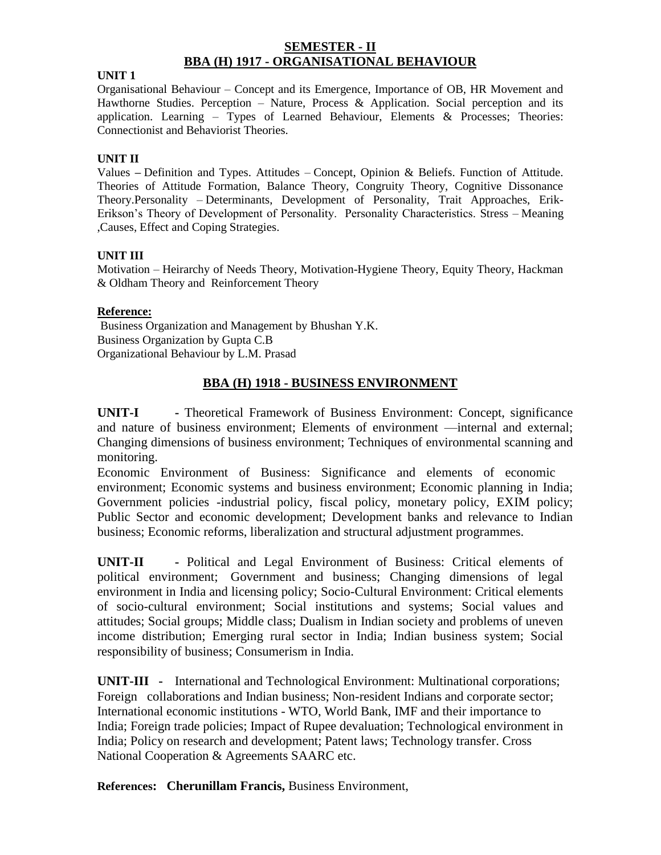## **SEMESTER - II BBA (H) 1917 - ORGANISATIONAL BEHAVIOUR**

#### **UNIT 1**

Organisational Behaviour – Concept and its Emergence, Importance of OB, HR Movement and Hawthorne Studies. Perception – Nature, Process & Application. Social perception and its application. Learning – Types of Learned Behaviour, Elements & Processes; Theories: Connectionist and Behaviorist Theories.

#### **UNIT II**

Values **–** Definition and Types. Attitudes – Concept, Opinion & Beliefs. Function of Attitude. Theories of Attitude Formation, Balance Theory, Congruity Theory, Cognitive Dissonance Theory.Personality – Determinants, Development of Personality, Trait Approaches, Erik-Erikson's Theory of Development of Personality. Personality Characteristics. Stress – Meaning ,Causes, Effect and Coping Strategies.

#### **UNIT III**

Motivation – Heirarchy of Needs Theory, Motivation-Hygiene Theory, Equity Theory, Hackman & Oldham Theory and Reinforcement Theory

#### **Reference:**

Business Organization and Management by Bhushan Y.K. Business Organization by Gupta C.B Organizational Behaviour by L.M. Prasad

## **BBA (H) 1918 - BUSINESS ENVIRONMENT**

**UNIT-I -** Theoretical Framework of Business Environment: Concept, significance and nature of business environment; Elements of environment —internal and external; Changing dimensions of business environment; Techniques of environmental scanning and monitoring.

Economic Environment of Business: Significance and elements of economic environment; Economic systems and business environment; Economic planning in India; Government policies -industrial policy, fiscal policy, monetary policy, EXIM policy; Public Sector and economic development; Development banks and relevance to Indian business; Economic reforms, liberalization and structural adjustment programmes.

**UNIT-II -** Political and Legal Environment of Business: Critical elements of political environment; Government and business; Changing dimensions of legal environment in India and licensing policy; Socio-Cultural Environment: Critical elements of socio-cultural environment; Social institutions and systems; Social values and attitudes; Social groups; Middle class; Dualism in Indian society and problems of uneven income distribution; Emerging rural sector in India; Indian business system; Social responsibility of business; Consumerism in India.

**UNIT-III -** International and Technological Environment: Multinational corporations; Foreign collaborations and Indian business; Non-resident Indians and corporate sector; International economic institutions - WTO, World Bank, IMF and their importance to India; Foreign trade policies; Impact of Rupee devaluation; Technological environment in India; Policy on research and development; Patent laws; Technology transfer. Cross National Cooperation & Agreements SAARC etc.

**References: Cherunillam Francis,** Business Environment,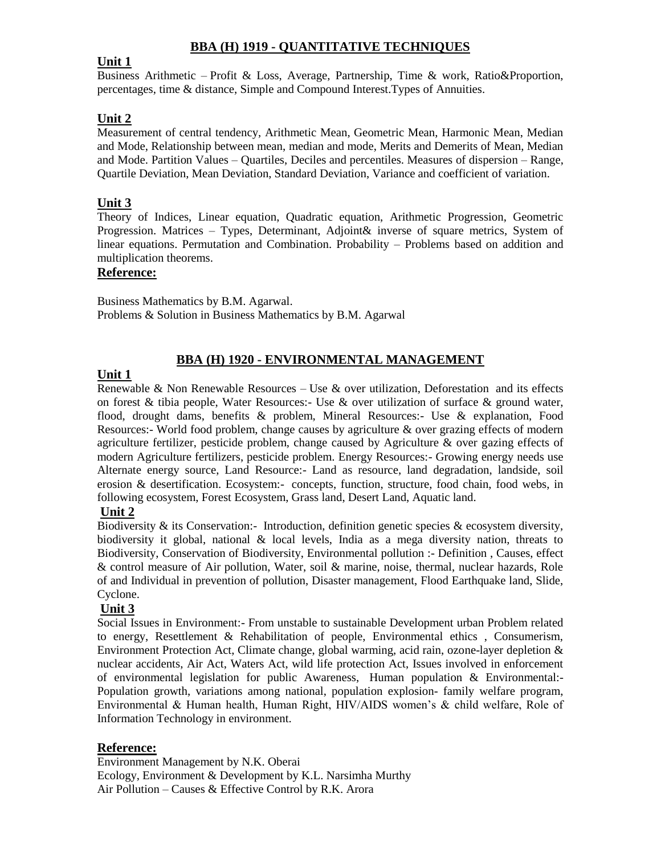# **BBA (H) 1919 - QUANTITATIVE TECHNIQUES**

## **Unit 1**

Business Arithmetic – Profit & Loss, Average, Partnership, Time & work, Ratio&Proportion, percentages, time & distance, Simple and Compound Interest.Types of Annuities.

# **Unit 2**

Measurement of central tendency, Arithmetic Mean, Geometric Mean, Harmonic Mean, Median and Mode, Relationship between mean, median and mode, Merits and Demerits of Mean, Median and Mode. Partition Values – Quartiles, Deciles and percentiles. Measures of dispersion – Range, Quartile Deviation, Mean Deviation, Standard Deviation, Variance and coefficient of variation.

# **Unit 3**

Theory of Indices, Linear equation, Quadratic equation, Arithmetic Progression, Geometric Progression. Matrices – Types, Determinant, Adjoint& inverse of square metrics, System of linear equations. Permutation and Combination. Probability – Problems based on addition and multiplication theorems.

## **Reference:**

Business Mathematics by B.M. Agarwal. Problems & Solution in Business Mathematics by B.M. Agarwal

# **BBA (H) 1920 - ENVIRONMENTAL MANAGEMENT**

## **Unit 1**

Renewable & Non Renewable Resources – Use & over utilization, Deforestation and its effects on forest & tibia people, Water Resources:- Use & over utilization of surface & ground water, flood, drought dams, benefits & problem, Mineral Resources:- Use & explanation, Food Resources:- World food problem, change causes by agriculture & over grazing effects of modern agriculture fertilizer, pesticide problem, change caused by Agriculture & over gazing effects of modern Agriculture fertilizers, pesticide problem. Energy Resources:- Growing energy needs use Alternate energy source, Land Resource:- Land as resource, land degradation, landside, soil erosion & desertification. Ecosystem:- concepts, function, structure, food chain, food webs, in following ecosystem, Forest Ecosystem, Grass land, Desert Land, Aquatic land.

# **Unit 2**

Biodiversity  $\&$  its Conservation:- Introduction, definition genetic species  $\&$  ecosystem diversity, biodiversity it global, national & local levels, India as a mega diversity nation, threats to Biodiversity, Conservation of Biodiversity, Environmental pollution :- Definition , Causes, effect & control measure of Air pollution, Water, soil & marine, noise, thermal, nuclear hazards, Role of and Individual in prevention of pollution, Disaster management, Flood Earthquake land, Slide, Cyclone.

## **Unit 3**

Social Issues in Environment:- From unstable to sustainable Development urban Problem related to energy, Resettlement & Rehabilitation of people, Environmental ethics , Consumerism, Environment Protection Act, Climate change, global warming, acid rain, ozone-layer depletion & nuclear accidents, Air Act, Waters Act, wild life protection Act, Issues involved in enforcement of environmental legislation for public Awareness, Human population & Environmental:- Population growth, variations among national, population explosion- family welfare program, Environmental & Human health, Human Right, HIV/AIDS women's & child welfare, Role of Information Technology in environment.

## **Reference:**

Environment Management by N.K. Oberai Ecology, Environment & Development by K.L. Narsimha Murthy Air Pollution – Causes & Effective Control by R.K. Arora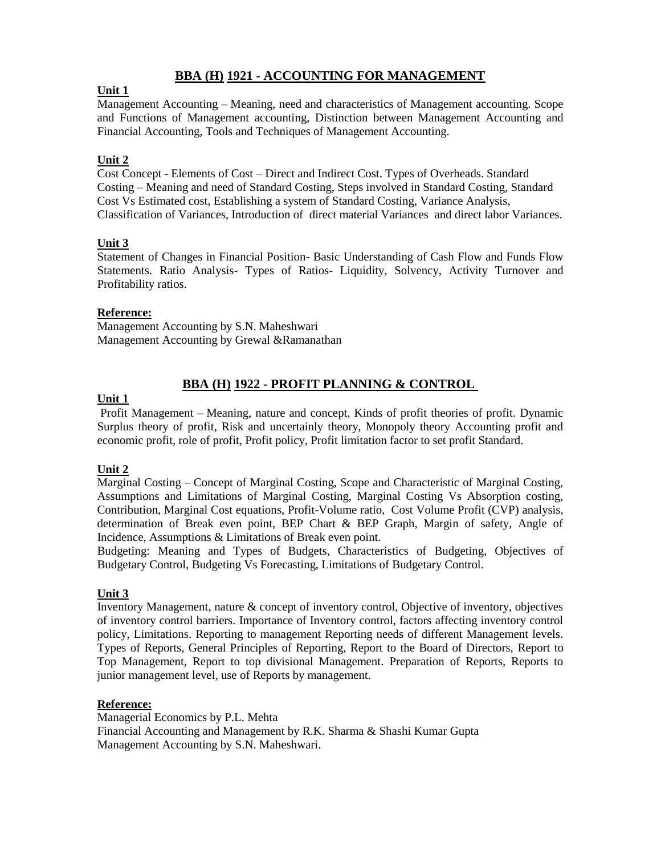# **BBA (H) 1921 - ACCOUNTING FOR MANAGEMENT**

## **Unit 1**

Management Accounting – Meaning, need and characteristics of Management accounting. Scope and Functions of Management accounting, Distinction between Management Accounting and Financial Accounting, Tools and Techniques of Management Accounting.

# **Unit 2**

Cost Concept - Elements of Cost – Direct and Indirect Cost. Types of Overheads. Standard Costing – Meaning and need of Standard Costing, Steps involved in Standard Costing, Standard Cost Vs Estimated cost, Establishing a system of Standard Costing, Variance Analysis, Classification of Variances, Introduction of direct material Variances and direct labor Variances.

## **Unit 3**

Statement of Changes in Financial Position- Basic Understanding of Cash Flow and Funds Flow Statements. Ratio Analysis- Types of Ratios- Liquidity, Solvency, Activity Turnover and Profitability ratios.

#### **Reference:**

Management Accounting by S.N. Maheshwari Management Accounting by Grewal &Ramanathan

# **BBA (H) 1922 - PROFIT PLANNING & CONTROL**

#### **Unit 1**

Profit Management – Meaning, nature and concept, Kinds of profit theories of profit. Dynamic Surplus theory of profit, Risk and uncertainly theory, Monopoly theory Accounting profit and economic profit, role of profit, Profit policy, Profit limitation factor to set profit Standard.

## **Unit 2**

Marginal Costing – Concept of Marginal Costing, Scope and Characteristic of Marginal Costing, Assumptions and Limitations of Marginal Costing, Marginal Costing Vs Absorption costing, Contribution, Marginal Cost equations, Profit-Volume ratio, Cost Volume Profit (CVP) analysis, determination of Break even point, BEP Chart & BEP Graph, Margin of safety, Angle of Incidence, Assumptions & Limitations of Break even point.

Budgeting: Meaning and Types of Budgets, Characteristics of Budgeting, Objectives of Budgetary Control, Budgeting Vs Forecasting, Limitations of Budgetary Control.

## **Unit 3**

Inventory Management, nature & concept of inventory control, Objective of inventory, objectives of inventory control barriers. Importance of Inventory control, factors affecting inventory control policy, Limitations. Reporting to management Reporting needs of different Management levels. Types of Reports, General Principles of Reporting, Report to the Board of Directors, Report to Top Management, Report to top divisional Management. Preparation of Reports, Reports to junior management level, use of Reports by management.

## **Reference:**

Managerial Economics by P.L. Mehta Financial Accounting and Management by R.K. Sharma & Shashi Kumar Gupta Management Accounting by S.N. Maheshwari.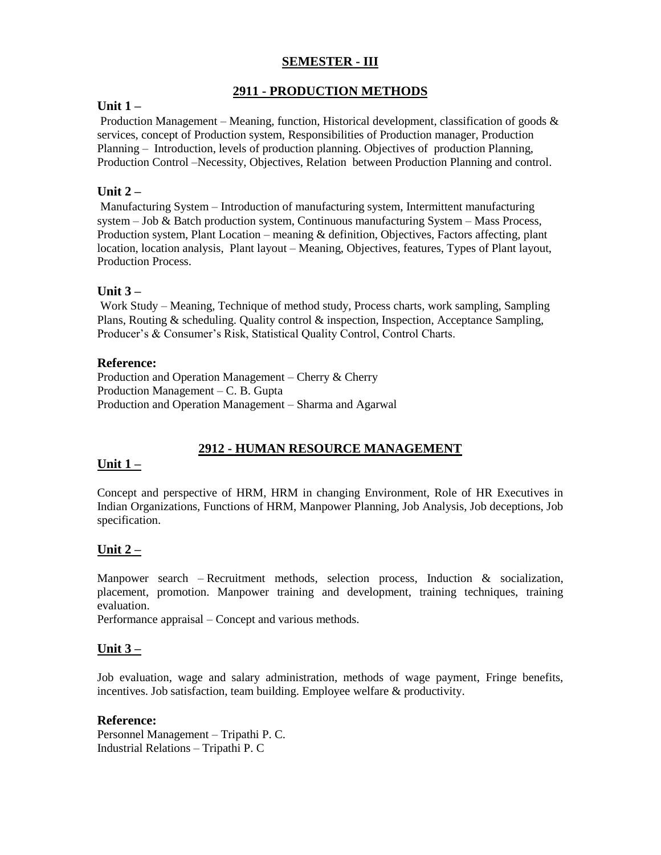# **SEMESTER - III**

# **2911 - PRODUCTION METHODS**

## **Unit 1 –**

Production Management – Meaning, function, Historical development, classification of goods  $\&$ services, concept of Production system, Responsibilities of Production manager, Production Planning – Introduction, levels of production planning. Objectives of production Planning, Production Control –Necessity, Objectives, Relation between Production Planning and control.

## **Unit 2 –**

Manufacturing System – Introduction of manufacturing system, Intermittent manufacturing system – Job & Batch production system, Continuous manufacturing System – Mass Process, Production system, Plant Location – meaning & definition, Objectives, Factors affecting, plant location, location analysis, Plant layout – Meaning, Objectives, features, Types of Plant layout, Production Process.

## **Unit 3 –**

Work Study – Meaning, Technique of method study, Process charts, work sampling, Sampling Plans, Routing & scheduling. Quality control & inspection, Inspection, Acceptance Sampling, Producer's & Consumer's Risk, Statistical Quality Control, Control Charts.

#### **Reference:**

Production and Operation Management – Cherry & Cherry Production Management – C. B. Gupta Production and Operation Management – Sharma and Agarwal

# **2912 - HUMAN RESOURCE MANAGEMENT**

## **Unit 1 –**

Concept and perspective of HRM, HRM in changing Environment, Role of HR Executives in Indian Organizations, Functions of HRM, Manpower Planning, Job Analysis, Job deceptions, Job specification.

## **Unit 2 –**

Manpower search – Recruitment methods, selection process, Induction  $\&$  socialization, placement, promotion. Manpower training and development, training techniques, training evaluation.

Performance appraisal – Concept and various methods.

## **Unit 3 –**

Job evaluation, wage and salary administration, methods of wage payment, Fringe benefits, incentives. Job satisfaction, team building. Employee welfare & productivity.

## **Reference:**

Personnel Management – Tripathi P. C. Industrial Relations – Tripathi P. C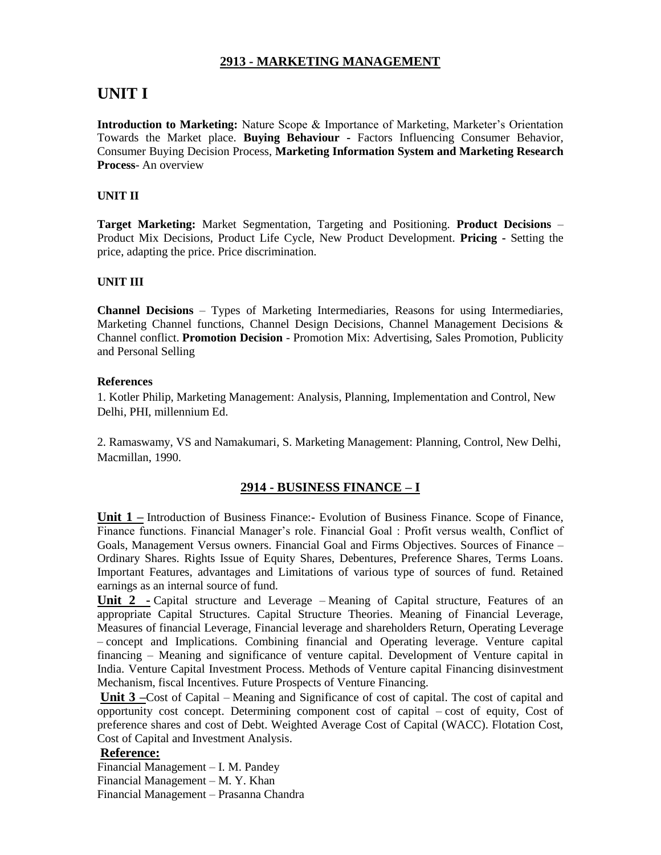# **2913 - MARKETING MANAGEMENT**

# **UNIT I**

**Introduction to Marketing:** Nature Scope & Importance of Marketing, Marketer's Orientation Towards the Market place. **Buying Behaviour -** Factors Influencing Consumer Behavior, Consumer Buying Decision Process, **Marketing Information System and Marketing Research Process**- An overview

# **UNIT II**

**Target Marketing:** Market Segmentation, Targeting and Positioning. **Product Decisions** – Product Mix Decisions, Product Life Cycle, New Product Development. **Pricing -** Setting the price, adapting the price. Price discrimination.

## **UNIT III**

**Channel Decisions** – Types of Marketing Intermediaries, Reasons for using Intermediaries, Marketing Channel functions, Channel Design Decisions, Channel Management Decisions & Channel conflict. **Promotion Decision** - Promotion Mix: Advertising, Sales Promotion, Publicity and Personal Selling

#### **References**

1. Kotler Philip, Marketing Management: Analysis, Planning, Implementation and Control, New Delhi, PHI, millennium Ed.

2. Ramaswamy, VS and Namakumari, S. Marketing Management: Planning, Control, New Delhi, Macmillan, 1990.

# **2914 - BUSINESS FINANCE – I**

**Unit 1 –** Introduction of Business Finance:- Evolution of Business Finance. Scope of Finance, Finance functions. Financial Manager's role. Financial Goal : Profit versus wealth, Conflict of Goals, Management Versus owners. Financial Goal and Firms Objectives. Sources of Finance – Ordinary Shares. Rights Issue of Equity Shares, Debentures, Preference Shares, Terms Loans. Important Features, advantages and Limitations of various type of sources of fund. Retained earnings as an internal source of fund.

**Unit 2 -** Capital structure and Leverage – Meaning of Capital structure, Features of an appropriate Capital Structures. Capital Structure Theories. Meaning of Financial Leverage, Measures of financial Leverage, Financial leverage and shareholders Return, Operating Leverage – concept and Implications. Combining financial and Operating leverage. Venture capital financing – Meaning and significance of venture capital. Development of Venture capital in India. Venture Capital Investment Process. Methods of Venture capital Financing disinvestment Mechanism, fiscal Incentives. Future Prospects of Venture Financing.

**Unit 3 –**Cost of Capital – Meaning and Significance of cost of capital. The cost of capital and opportunity cost concept. Determining component cost of capital – cost of equity, Cost of preference shares and cost of Debt. Weighted Average Cost of Capital (WACC). Flotation Cost, Cost of Capital and Investment Analysis.

## **Reference:**

Financial Management – I. M. Pandey Financial Management – M. Y. Khan Financial Management – Prasanna Chandra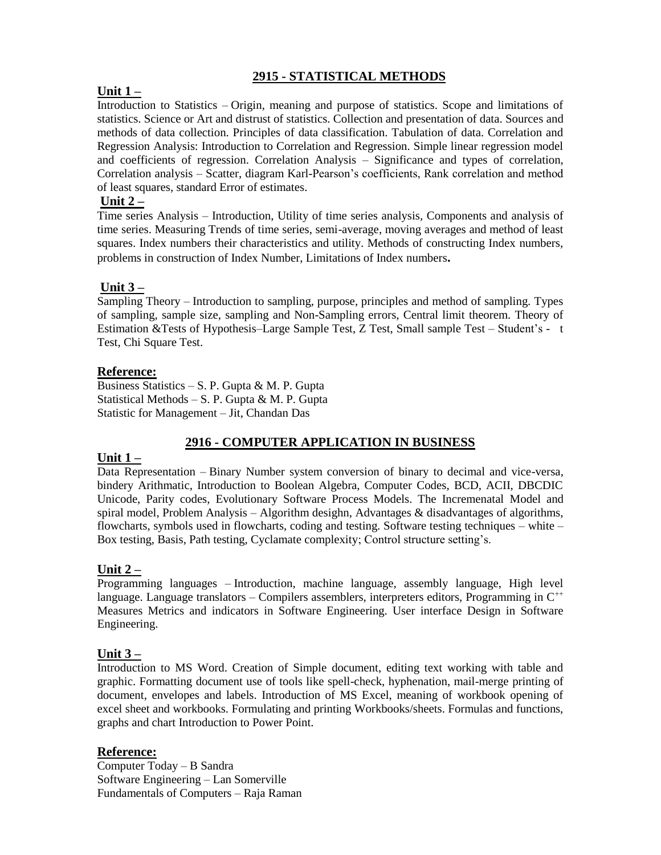# **2915 - STATISTICAL METHODS**

# **Unit 1 –**

Introduction to Statistics – Origin, meaning and purpose of statistics. Scope and limitations of statistics. Science or Art and distrust of statistics. Collection and presentation of data. Sources and methods of data collection. Principles of data classification. Tabulation of data. Correlation and Regression Analysis: Introduction to Correlation and Regression. Simple linear regression model and coefficients of regression. Correlation Analysis – Significance and types of correlation, Correlation analysis – Scatter, diagram Karl-Pearson's coefficients, Rank correlation and method of least squares, standard Error of estimates.

## **Unit 2 –**

Time series Analysis – Introduction, Utility of time series analysis, Components and analysis of time series. Measuring Trends of time series, semi-average, moving averages and method of least squares. Index numbers their characteristics and utility. Methods of constructing Index numbers, problems in construction of Index Number, Limitations of Index numbers**.** 

## **Unit 3 –**

Sampling Theory – Introduction to sampling, purpose, principles and method of sampling. Types of sampling, sample size, sampling and Non-Sampling errors, Central limit theorem. Theory of Estimation &Tests of Hypothesis–Large Sample Test, Z Test, Small sample Test – Student's - t Test, Chi Square Test.

## **Reference:**

Business Statistics – S. P. Gupta & M. P. Gupta Statistical Methods – S. P. Gupta & M. P. Gupta Statistic for Management – Jit, Chandan Das

## **2916 - COMPUTER APPLICATION IN BUSINESS**

## **Unit 1 –**

Data Representation – Binary Number system conversion of binary to decimal and vice-versa, bindery Arithmatic, Introduction to Boolean Algebra, Computer Codes, BCD, ACII, DBCDIC Unicode, Parity codes, Evolutionary Software Process Models. The Incremenatal Model and spiral model, Problem Analysis – Algorithm desighn, Advantages  $\&$  disadvantages of algorithms, flowcharts, symbols used in flowcharts, coding and testing. Software testing techniques – white – Box testing, Basis, Path testing, Cyclamate complexity; Control structure setting's.

## **Unit 2 –**

Programming languages – Introduction, machine language, assembly language, High level language. Language translators – Compilers assemblers, interpreters editors, Programming in  $C^{++}$ Measures Metrics and indicators in Software Engineering. User interface Design in Software Engineering.

## **Unit 3 –**

Introduction to MS Word. Creation of Simple document, editing text working with table and graphic. Formatting document use of tools like spell-check, hyphenation, mail-merge printing of document, envelopes and labels. Introduction of MS Excel, meaning of workbook opening of excel sheet and workbooks. Formulating and printing Workbooks/sheets. Formulas and functions, graphs and chart Introduction to Power Point.

## **Reference:**

Computer Today – B Sandra Software Engineering – Lan Somerville Fundamentals of Computers – Raja Raman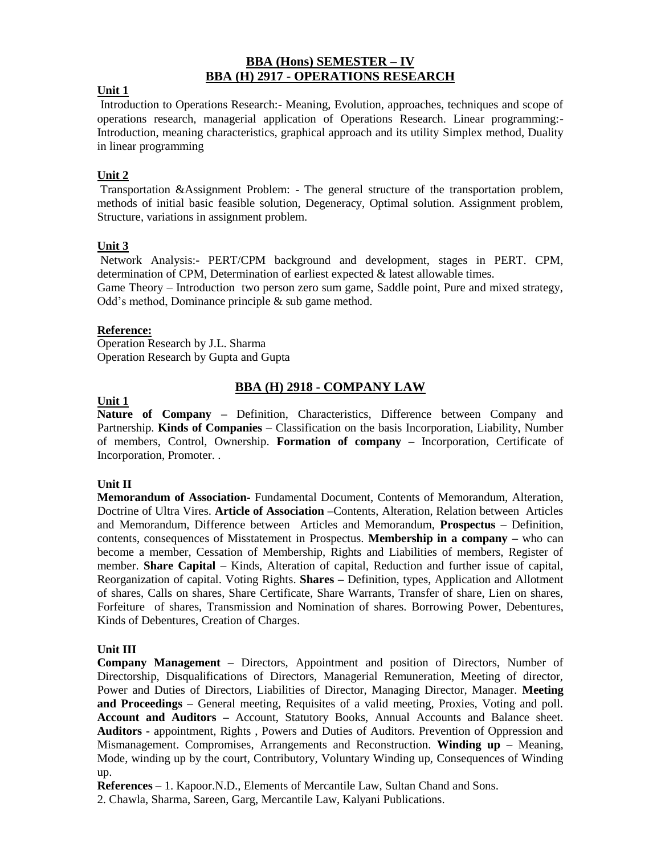# **BBA (Hons) SEMESTER – IV BBA (H) 2917 - OPERATIONS RESEARCH**

#### **Unit 1**

Introduction to Operations Research:- Meaning, Evolution, approaches, techniques and scope of operations research, managerial application of Operations Research. Linear programming:- Introduction, meaning characteristics, graphical approach and its utility Simplex method, Duality in linear programming

## **Unit 2**

Transportation &Assignment Problem: - The general structure of the transportation problem, methods of initial basic feasible solution, Degeneracy, Optimal solution. Assignment problem, Structure, variations in assignment problem.

## **Unit 3**

Network Analysis:- PERT/CPM background and development, stages in PERT. CPM, determination of CPM, Determination of earliest expected & latest allowable times. Game Theory – Introduction two person zero sum game, Saddle point, Pure and mixed strategy, Odd's method, Dominance principle & sub game method.

#### **Reference:**

Operation Research by J.L. Sharma Operation Research by Gupta and Gupta

# **BBA (H) 2918 - COMPANY LAW**

## **Unit 1**

**Nature of Company –** Definition, Characteristics, Difference between Company and Partnership. **Kinds of Companies –** Classification on the basis Incorporation, Liability, Number of members, Control, Ownership. **Formation of company –** Incorporation, Certificate of Incorporation, Promoter. .

## **Unit II**

**Memorandum of Association-** Fundamental Document, Contents of Memorandum, Alteration, Doctrine of Ultra Vires. **Article of Association –**Contents, Alteration, Relation between Articles and Memorandum, Difference between Articles and Memorandum, **Prospectus –** Definition, contents, consequences of Misstatement in Prospectus. **Membership in a company –** who can become a member, Cessation of Membership, Rights and Liabilities of members, Register of member. **Share Capital –** Kinds, Alteration of capital, Reduction and further issue of capital, Reorganization of capital. Voting Rights. **Shares –** Definition, types, Application and Allotment of shares, Calls on shares, Share Certificate, Share Warrants, Transfer of share, Lien on shares, Forfeiture of shares, Transmission and Nomination of shares. Borrowing Power, Debentures, Kinds of Debentures, Creation of Charges.

#### **Unit III**

**Company Management –** Directors, Appointment and position of Directors, Number of Directorship, Disqualifications of Directors, Managerial Remuneration, Meeting of director, Power and Duties of Directors, Liabilities of Director, Managing Director, Manager. **Meeting and Proceedings –** General meeting, Requisites of a valid meeting, Proxies, Voting and poll. **Account and Auditors –** Account, Statutory Books, Annual Accounts and Balance sheet. **Auditors -** appointment, Rights , Powers and Duties of Auditors. Prevention of Oppression and Mismanagement. Compromises, Arrangements and Reconstruction. **Winding up –** Meaning, Mode, winding up by the court, Contributory, Voluntary Winding up, Consequences of Winding up.

**References –** 1. Kapoor.N.D., Elements of Mercantile Law, Sultan Chand and Sons.

2. Chawla, Sharma, Sareen, Garg, Mercantile Law, Kalyani Publications.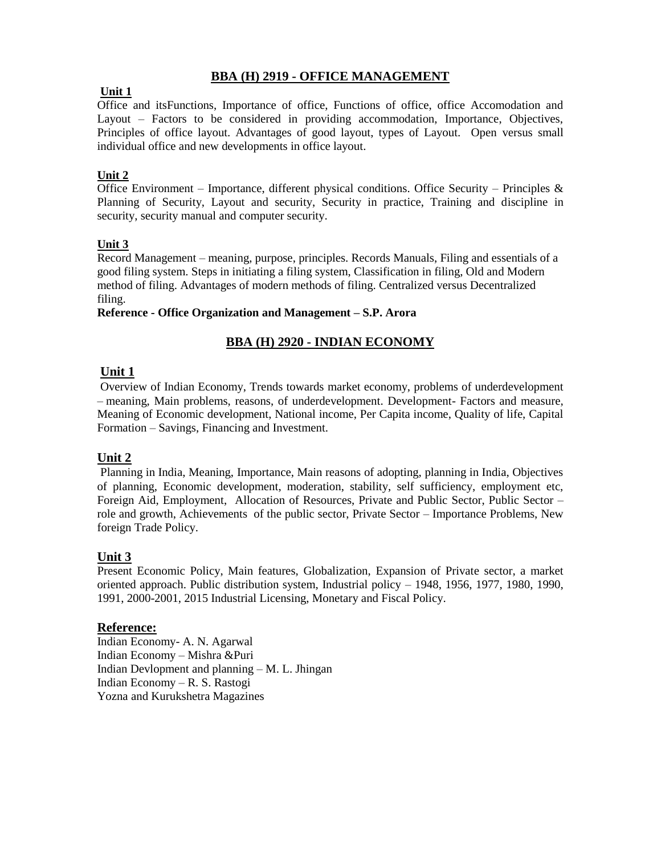# **BBA (H) 2919 - OFFICE MANAGEMENT**

#### **Unit 1**

Office and itsFunctions, Importance of office, Functions of office, office Accomodation and Layout – Factors to be considered in providing accommodation, Importance, Objectives, Principles of office layout. Advantages of good layout, types of Layout. Open versus small individual office and new developments in office layout.

## **Unit 2**

Office Environment – Importance, different physical conditions. Office Security – Principles  $\&$ Planning of Security, Layout and security, Security in practice, Training and discipline in security, security manual and computer security.

## **Unit 3**

Record Management – meaning, purpose, principles. Records Manuals, Filing and essentials of a good filing system. Steps in initiating a filing system, Classification in filing, Old and Modern method of filing. Advantages of modern methods of filing. Centralized versus Decentralized filing.

#### **Reference - Office Organization and Management – S.P. Arora**

# **BBA (H) 2920 - INDIAN ECONOMY**

## **Unit 1**

Overview of Indian Economy, Trends towards market economy, problems of underdevelopment – meaning, Main problems, reasons, of underdevelopment. Development- Factors and measure, Meaning of Economic development, National income, Per Capita income, Quality of life, Capital Formation – Savings, Financing and Investment.

## **Unit 2**

Planning in India, Meaning, Importance, Main reasons of adopting, planning in India, Objectives of planning, Economic development, moderation, stability, self sufficiency, employment etc, Foreign Aid, Employment, Allocation of Resources, Private and Public Sector, Public Sector – role and growth, Achievements of the public sector, Private Sector – Importance Problems, New foreign Trade Policy.

## **Unit 3**

Present Economic Policy, Main features, Globalization, Expansion of Private sector, a market oriented approach. Public distribution system, Industrial policy – 1948, 1956, 1977, 1980, 1990, 1991, 2000-2001, 2015 Industrial Licensing, Monetary and Fiscal Policy.

## **Reference:**

Indian Economy- A. N. Agarwal Indian Economy – Mishra &Puri Indian Devlopment and planning – M. L. Jhingan Indian Economy – R. S. Rastogi Yozna and Kurukshetra Magazines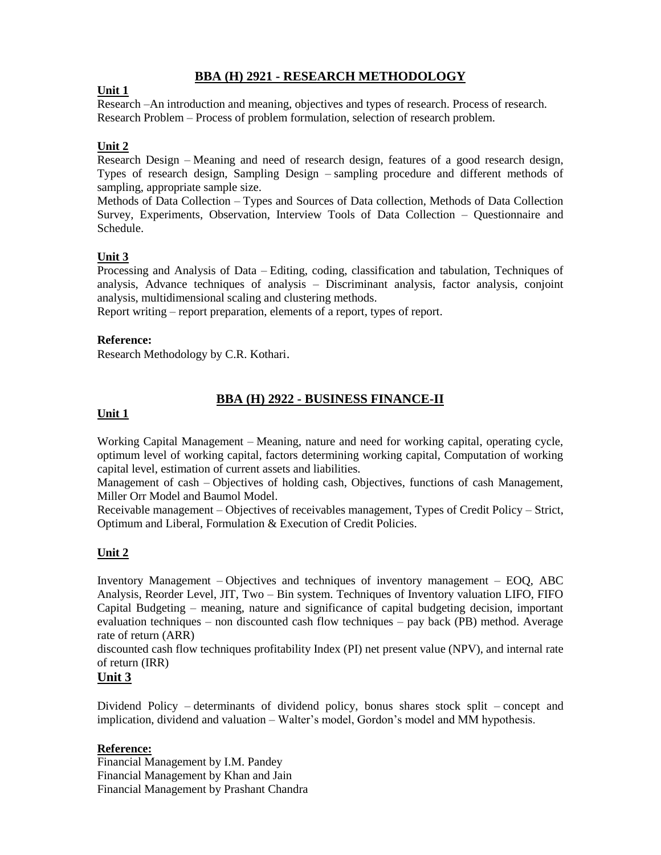# **BBA (H) 2921 - RESEARCH METHODOLOGY**

#### **Unit 1**

Research –An introduction and meaning, objectives and types of research. Process of research. Research Problem – Process of problem formulation, selection of research problem.

#### **Unit 2**

Research Design – Meaning and need of research design, features of a good research design, Types of research design, Sampling Design – sampling procedure and different methods of sampling, appropriate sample size.

Methods of Data Collection – Types and Sources of Data collection, Methods of Data Collection Survey, Experiments, Observation, Interview Tools of Data Collection – Questionnaire and Schedule.

#### **Unit 3**

Processing and Analysis of Data – Editing, coding, classification and tabulation, Techniques of analysis, Advance techniques of analysis – Discriminant analysis, factor analysis, conjoint analysis, multidimensional scaling and clustering methods.

Report writing – report preparation, elements of a report, types of report.

#### **Reference:**

Research Methodology by C.R. Kothari.

## **BBA (H) 2922 - BUSINESS FINANCE-II**

#### **Unit 1**

Working Capital Management – Meaning, nature and need for working capital, operating cycle, optimum level of working capital, factors determining working capital, Computation of working capital level, estimation of current assets and liabilities.

Management of cash – Objectives of holding cash, Objectives, functions of cash Management, Miller Orr Model and Baumol Model.

Receivable management – Objectives of receivables management, Types of Credit Policy – Strict, Optimum and Liberal, Formulation & Execution of Credit Policies.

## **Unit 2**

Inventory Management – Objectives and techniques of inventory management – EOQ, ABC Analysis, Reorder Level, JIT, Two – Bin system. Techniques of Inventory valuation LIFO, FIFO Capital Budgeting – meaning, nature and significance of capital budgeting decision, important evaluation techniques – non discounted cash flow techniques – pay back (PB) method. Average rate of return (ARR)

discounted cash flow techniques profitability Index (PI) net present value (NPV), and internal rate of return (IRR)

## **Unit 3**

Dividend Policy – determinants of dividend policy, bonus shares stock split – concept and implication, dividend and valuation – Walter's model, Gordon's model and MM hypothesis.

#### **Reference:**

Financial Management by I.M. Pandey Financial Management by Khan and Jain Financial Management by Prashant Chandra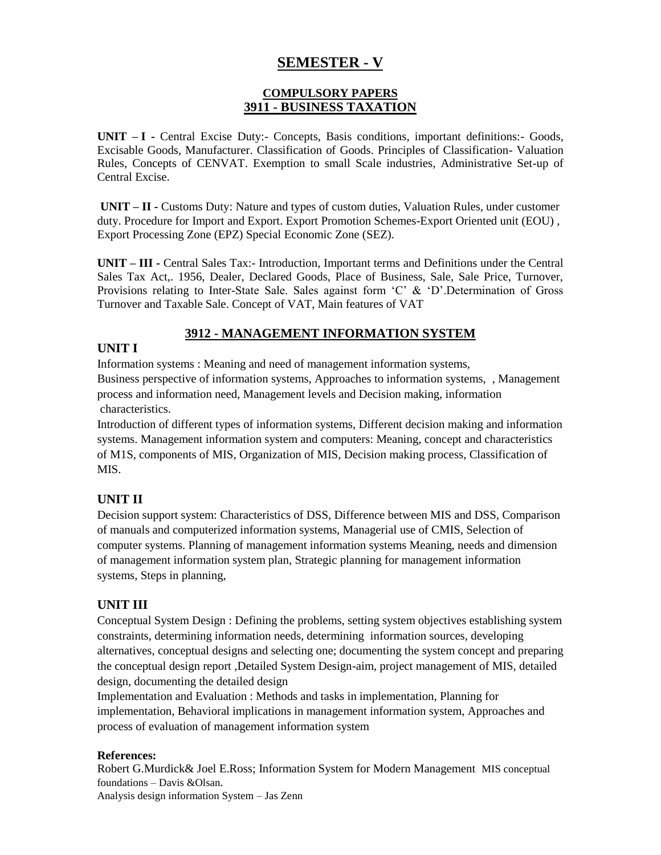# **SEMESTER - V**

## **COMPULSORY PAPERS 3911 - BUSINESS TAXATION**

**UNIT – I -** Central Excise Duty:- Concepts, Basis conditions, important definitions:- Goods, Excisable Goods, Manufacturer. Classification of Goods. Principles of Classification- Valuation Rules, Concepts of CENVAT. Exemption to small Scale industries, Administrative Set-up of Central Excise.

**UNIT – II -** Customs Duty: Nature and types of custom duties, Valuation Rules, under customer duty. Procedure for Import and Export. Export Promotion Schemes-Export Oriented unit (EOU) , Export Processing Zone (EPZ) Special Economic Zone (SEZ).

**UNIT – III -** Central Sales Tax:- Introduction, Important terms and Definitions under the Central Sales Tax Act,. 1956, Dealer, Declared Goods, Place of Business, Sale, Sale Price, Turnover, Provisions relating to Inter-State Sale. Sales against form 'C' & 'D'.Determination of Gross Turnover and Taxable Sale. Concept of VAT, Main features of VAT

# **3912 - MANAGEMENT INFORMATION SYSTEM**

## **UNIT I**

Information systems : Meaning and need of management information systems,

Business perspective of information systems, Approaches to information systems, , Management process and information need, Management levels and Decision making, information characteristics.

Introduction of different types of information systems, Different decision making and information systems. Management information system and computers: Meaning, concept and characteristics of M1S, components of MIS, Organization of MIS, Decision making process, Classification of MIS.

# **UNIT II**

Decision support system: Characteristics of DSS, Difference between MIS and DSS, Comparison of manuals and computerized information systems, Managerial use of CMIS, Selection of computer systems. Planning of management information systems Meaning, needs and dimension of management information system plan, Strategic planning for management information systems, Steps in planning,

# **UNIT III**

Conceptual System Design : Defining the problems, setting system objectives establishing system constraints, determining information needs, determining information sources, developing alternatives, conceptual designs and selecting one; documenting the system concept and preparing the conceptual design report ,Detailed System Design-aim, project management of MIS, detailed design, documenting the detailed design

Implementation and Evaluation : Methods and tasks in implementation, Planning for implementation, Behavioral implications in management information system, Approaches and process of evaluation of management information system

#### **References:**

Robert G.Murdick& Joel E.Ross; Information System for Modern Management MIS conceptual foundations – Davis &Olsan. Analysis design information System – Jas Zenn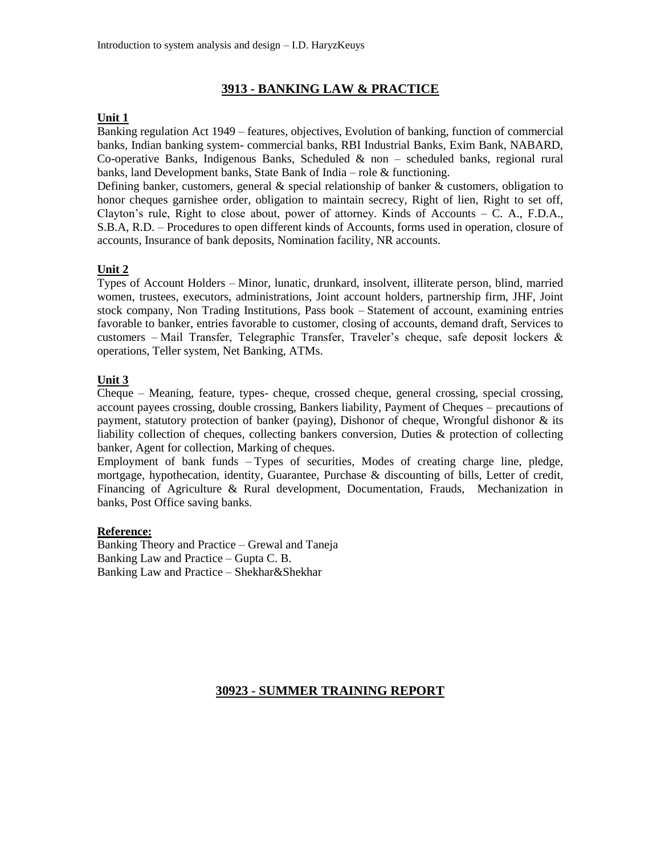# **3913 - BANKING LAW & PRACTICE**

#### **Unit 1**

Banking regulation Act 1949 – features, objectives, Evolution of banking, function of commercial banks, Indian banking system- commercial banks, RBI Industrial Banks, Exim Bank, NABARD, Co-operative Banks, Indigenous Banks, Scheduled & non – scheduled banks, regional rural banks, land Development banks, State Bank of India – role & functioning.

Defining banker, customers, general  $\&$  special relationship of banker  $\&$  customers, obligation to honor cheques garnishee order, obligation to maintain secrecy, Right of lien, Right to set off, Clayton's rule, Right to close about, power of attorney. Kinds of Accounts – C. A., F.D.A., S.B.A, R.D. – Procedures to open different kinds of Accounts, forms used in operation, closure of accounts, Insurance of bank deposits, Nomination facility, NR accounts.

#### **Unit 2**

Types of Account Holders – Minor, lunatic, drunkard, insolvent, illiterate person, blind, married women, trustees, executors, administrations, Joint account holders, partnership firm, JHF, Joint stock company, Non Trading Institutions, Pass book – Statement of account, examining entries favorable to banker, entries favorable to customer, closing of accounts, demand draft, Services to customers – Mail Transfer, Telegraphic Transfer, Traveler's cheque, safe deposit lockers  $\&$ operations, Teller system, Net Banking, ATMs.

## **Unit 3**

Cheque – Meaning, feature, types- cheque, crossed cheque, general crossing, special crossing, account payees crossing, double crossing, Bankers liability, Payment of Cheques – precautions of payment, statutory protection of banker (paying), Dishonor of cheque, Wrongful dishonor  $\&$  its liability collection of cheques, collecting bankers conversion, Duties & protection of collecting banker, Agent for collection, Marking of cheques.

Employment of bank funds – Types of securities, Modes of creating charge line, pledge, mortgage, hypothecation, identity, Guarantee, Purchase & discounting of bills, Letter of credit, Financing of Agriculture & Rural development, Documentation, Frauds, Mechanization in banks, Post Office saving banks.

#### **Reference:**

Banking Theory and Practice – Grewal and Taneja Banking Law and Practice – Gupta C. B. Banking Law and Practice – Shekhar&Shekhar

## **30923 - SUMMER TRAINING REPORT**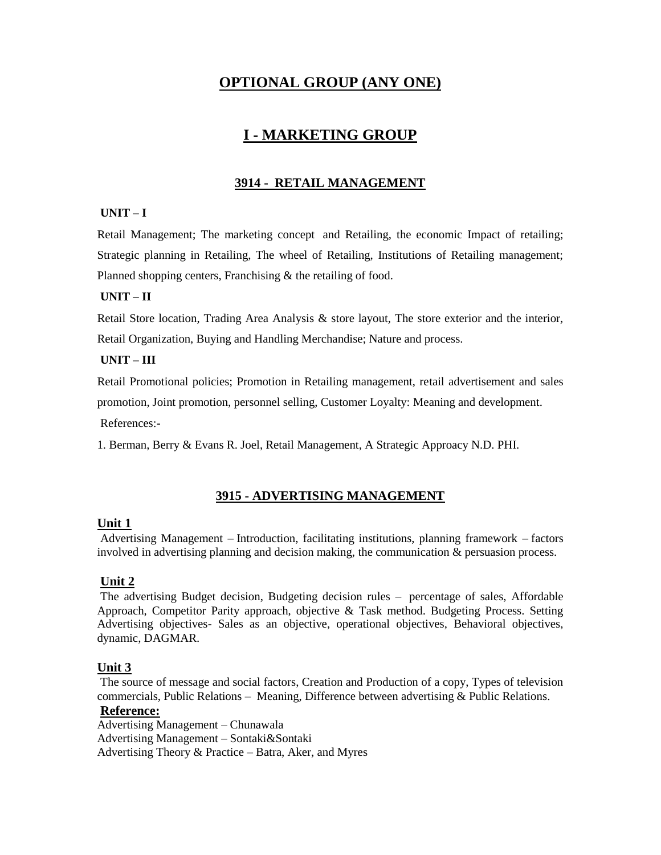# **OPTIONAL GROUP (ANY ONE)**

# **I - MARKETING GROUP**

## **3914 - RETAIL MANAGEMENT**

#### **UNIT – I**

Retail Management; The marketing concept and Retailing, the economic Impact of retailing; Strategic planning in Retailing, The wheel of Retailing, Institutions of Retailing management; Planned shopping centers, Franchising & the retailing of food.

#### **UNIT – II**

Retail Store location, Trading Area Analysis  $\&$  store layout, The store exterior and the interior, Retail Organization, Buying and Handling Merchandise; Nature and process.

#### **UNIT – III**

Retail Promotional policies; Promotion in Retailing management, retail advertisement and sales promotion, Joint promotion, personnel selling, Customer Loyalty: Meaning and development.

References:-

1. Berman, Berry & Evans R. Joel, Retail Management, A Strategic Approacy N.D. PHI.

## **3915 - ADVERTISING MANAGEMENT**

## **Unit 1**

Advertising Management – Introduction, facilitating institutions, planning framework – factors involved in advertising planning and decision making, the communication & persuasion process.

## **Unit 2**

The advertising Budget decision, Budgeting decision rules – percentage of sales, Affordable Approach, Competitor Parity approach, objective & Task method. Budgeting Process. Setting Advertising objectives- Sales as an objective, operational objectives, Behavioral objectives, dynamic, DAGMAR.

## **Unit 3**

The source of message and social factors, Creation and Production of a copy, Types of television commercials, Public Relations – Meaning, Difference between advertising & Public Relations.

#### **Reference:**

Advertising Management – Chunawala Advertising Management – Sontaki&Sontaki Advertising Theory & Practice – Batra, Aker, and Myres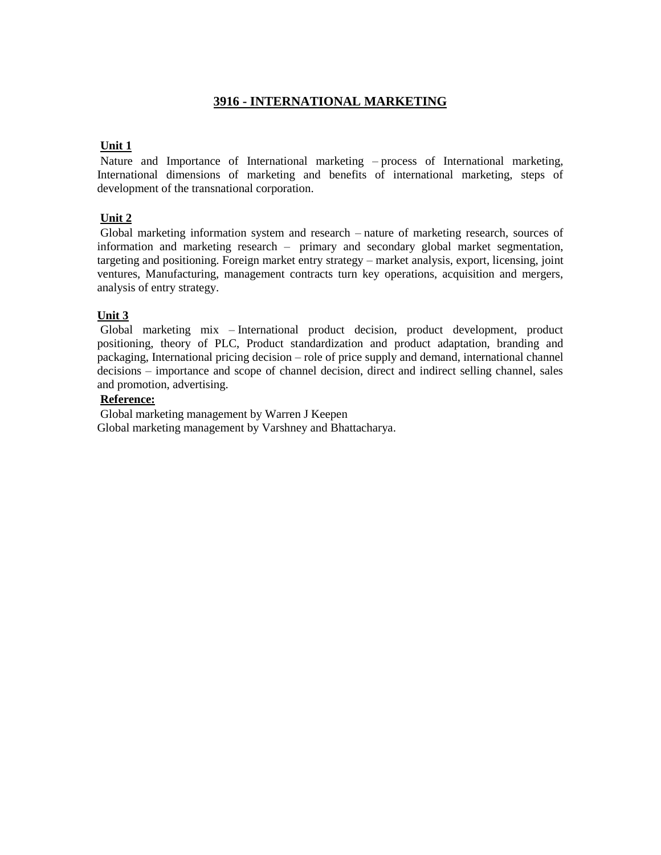# **3916 - INTERNATIONAL MARKETING**

## **Unit 1**

Nature and Importance of International marketing – process of International marketing, International dimensions of marketing and benefits of international marketing, steps of development of the transnational corporation.

#### **Unit 2**

Global marketing information system and research – nature of marketing research, sources of information and marketing research – primary and secondary global market segmentation, targeting and positioning. Foreign market entry strategy – market analysis, export, licensing, joint ventures, Manufacturing, management contracts turn key operations, acquisition and mergers, analysis of entry strategy.

#### **Unit 3**

Global marketing mix – International product decision, product development, product positioning, theory of PLC, Product standardization and product adaptation, branding and packaging, International pricing decision – role of price supply and demand, international channel decisions – importance and scope of channel decision, direct and indirect selling channel, sales and promotion, advertising.

# **Reference:**

Global marketing management by Warren J Keepen Global marketing management by Varshney and Bhattacharya.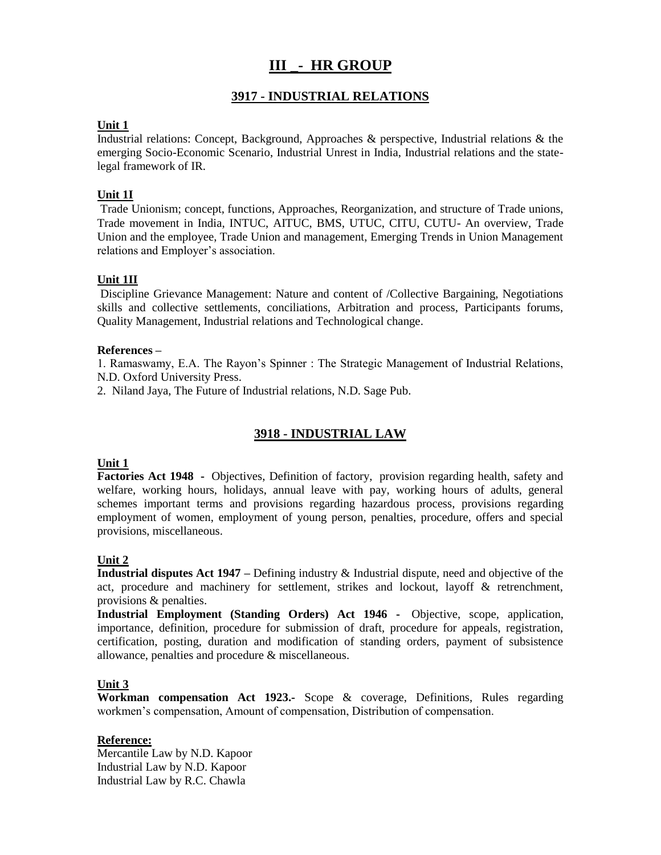# **III \_- HR GROUP**

# **3917 - INDUSTRIAL RELATIONS**

#### **Unit 1**

Industrial relations: Concept, Background, Approaches & perspective, Industrial relations & the emerging Socio-Economic Scenario, Industrial Unrest in India, Industrial relations and the statelegal framework of IR.

#### **Unit 1I**

Trade Unionism; concept, functions, Approaches, Reorganization, and structure of Trade unions, Trade movement in India, INTUC, AITUC, BMS, UTUC, CITU, CUTU- An overview, Trade Union and the employee, Trade Union and management, Emerging Trends in Union Management relations and Employer's association.

## **Unit 1II**

Discipline Grievance Management: Nature and content of /Collective Bargaining, Negotiations skills and collective settlements, conciliations, Arbitration and process, Participants forums, Quality Management, Industrial relations and Technological change.

#### **References –**

1. Ramaswamy, E.A. The Rayon's Spinner : The Strategic Management of Industrial Relations, N.D. Oxford University Press.

2. Niland Jaya, The Future of Industrial relations, N.D. Sage Pub.

# **3918 - INDUSTRIAL LAW**

## **Unit 1**

**Factories Act 1948 -** Objectives, Definition of factory, provision regarding health, safety and welfare, working hours, holidays, annual leave with pay, working hours of adults, general schemes important terms and provisions regarding hazardous process, provisions regarding employment of women, employment of young person, penalties, procedure, offers and special provisions, miscellaneous.

#### **Unit 2**

**Industrial disputes Act 1947 –** Defining industry & Industrial dispute, need and objective of the act, procedure and machinery for settlement, strikes and lockout, layoff & retrenchment, provisions & penalties.

**Industrial Employment (Standing Orders) Act 1946 -** Objective, scope, application, importance, definition, procedure for submission of draft, procedure for appeals, registration, certification, posting, duration and modification of standing orders, payment of subsistence allowance, penalties and procedure & miscellaneous.

#### **Unit 3**

**Workman compensation Act 1923.-** Scope & coverage, Definitions, Rules regarding workmen's compensation, Amount of compensation, Distribution of compensation.

#### **Reference:**

Mercantile Law by N.D. Kapoor Industrial Law by N.D. Kapoor Industrial Law by R.C. Chawla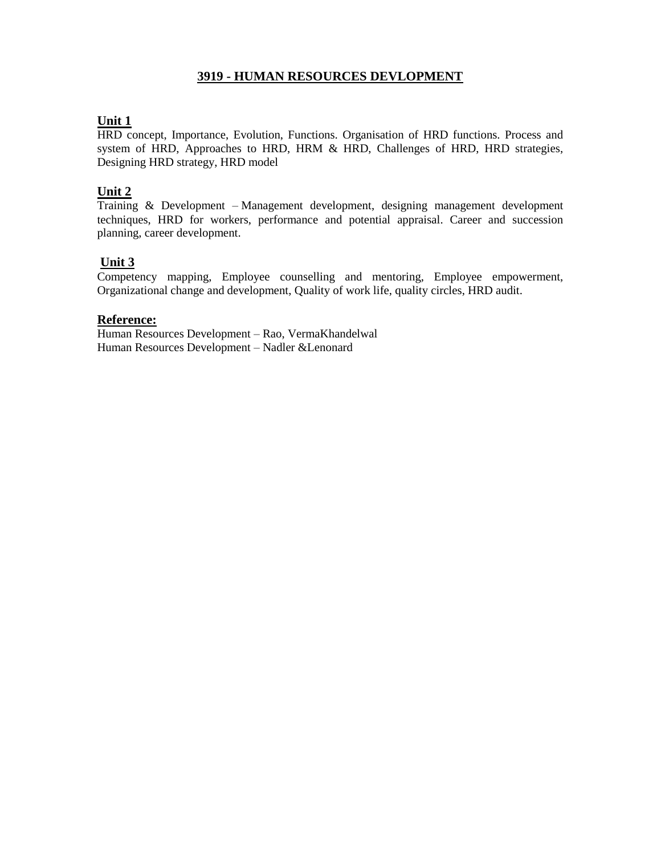# **3919 - HUMAN RESOURCES DEVLOPMENT**

# **Unit 1**

HRD concept, Importance, Evolution, Functions. Organisation of HRD functions. Process and system of HRD, Approaches to HRD, HRM & HRD, Challenges of HRD, HRD strategies, Designing HRD strategy, HRD model

## **Unit 2**

Training & Development – Management development, designing management development techniques, HRD for workers, performance and potential appraisal. Career and succession planning, career development.

## **Unit 3**

Competency mapping, Employee counselling and mentoring, Employee empowerment, Organizational change and development, Quality of work life, quality circles, HRD audit.

#### **Reference:**

Human Resources Development – Rao, VermaKhandelwal Human Resources Development – Nadler &Lenonard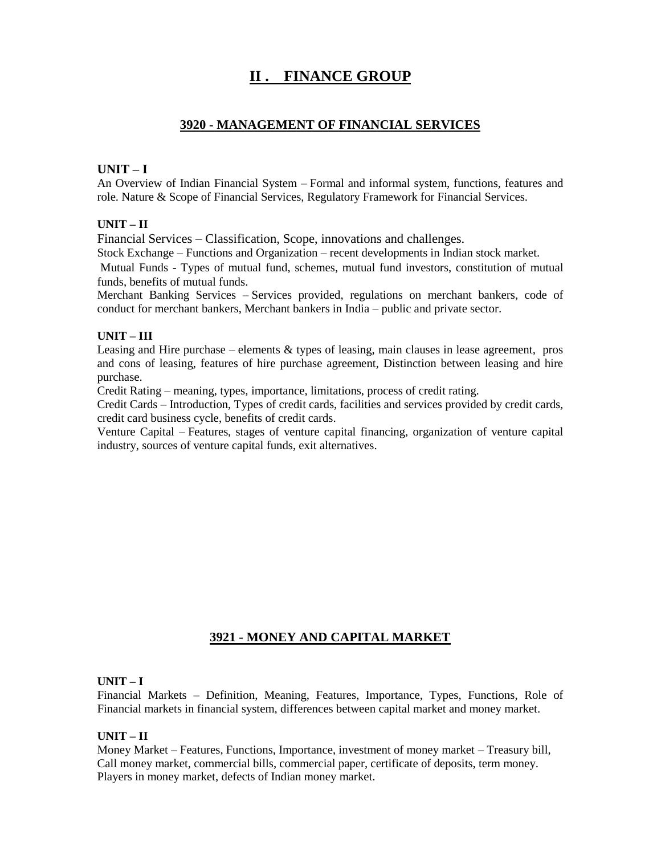# **II . FINANCE GROUP**

## **3920 - MANAGEMENT OF FINANCIAL SERVICES**

#### **UNIT – I**

An Overview of Indian Financial System – Formal and informal system, functions, features and role. Nature & Scope of Financial Services, Regulatory Framework for Financial Services.

#### **UNIT – II**

Financial Services – Classification, Scope, innovations and challenges.

Stock Exchange – Functions and Organization – recent developments in Indian stock market.

Mutual Funds - Types of mutual fund, schemes, mutual fund investors, constitution of mutual funds, benefits of mutual funds.

Merchant Banking Services – Services provided, regulations on merchant bankers, code of conduct for merchant bankers, Merchant bankers in India – public and private sector.

#### **UNIT – III**

Leasing and Hire purchase – elements & types of leasing, main clauses in lease agreement, pros and cons of leasing, features of hire purchase agreement, Distinction between leasing and hire purchase.

Credit Rating – meaning, types, importance, limitations, process of credit rating.

Credit Cards – Introduction, Types of credit cards, facilities and services provided by credit cards, credit card business cycle, benefits of credit cards.

Venture Capital – Features, stages of venture capital financing, organization of venture capital industry, sources of venture capital funds, exit alternatives.

## **3921 - MONEY AND CAPITAL MARKET**

#### **UNIT – I**

Financial Markets – Definition, Meaning, Features, Importance, Types, Functions, Role of Financial markets in financial system, differences between capital market and money market.

#### **UNIT – II**

Money Market – Features, Functions, Importance, investment of money market – Treasury bill, Call money market, commercial bills, commercial paper, certificate of deposits, term money. Players in money market, defects of Indian money market.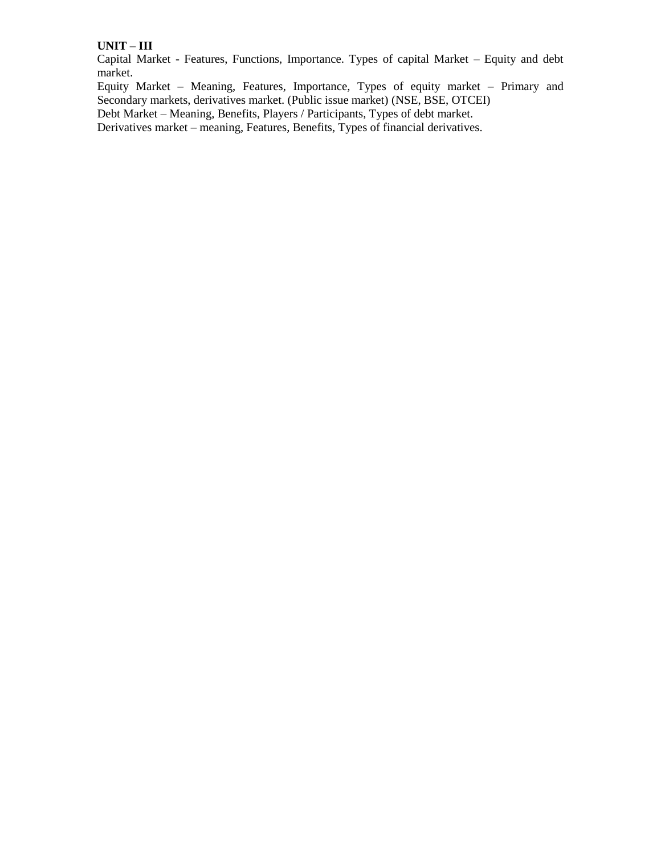#### **UNIT – III**

Capital Market - Features, Functions, Importance. Types of capital Market – Equity and debt market.

Equity Market – Meaning, Features, Importance, Types of equity market – Primary and Secondary markets, derivatives market. (Public issue market) (NSE, BSE, OTCEI)

Debt Market – Meaning, Benefits, Players / Participants, Types of debt market.

Derivatives market – meaning, Features, Benefits, Types of financial derivatives.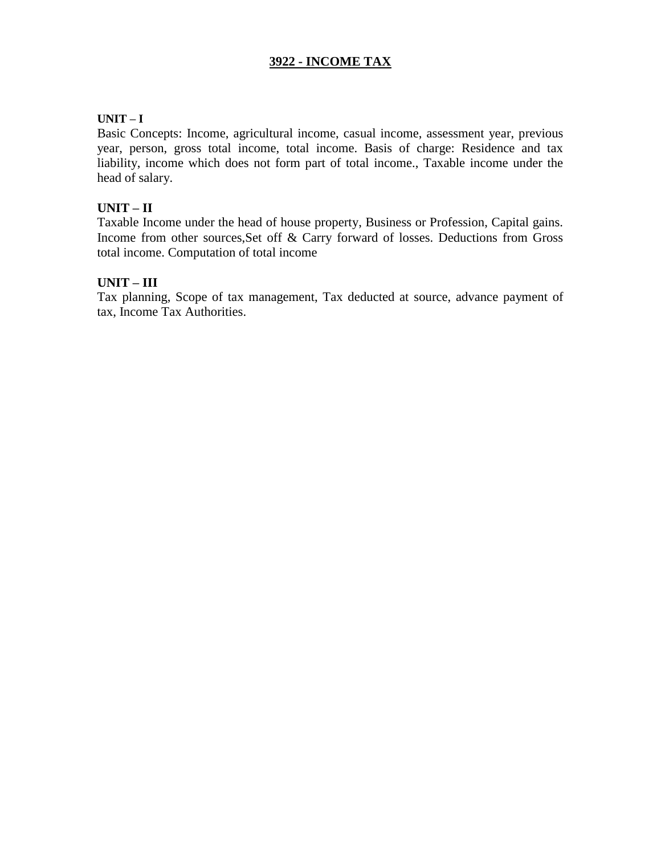# **3922 - INCOME TAX**

## **UNIT – I**

Basic Concepts: Income, agricultural income, casual income, assessment year, previous year, person, gross total income, total income. Basis of charge: Residence and tax liability, income which does not form part of total income., Taxable income under the head of salary.

# **UNIT – II**

Taxable Income under the head of house property, Business or Profession, Capital gains. Income from other sources,Set off & Carry forward of losses. Deductions from Gross total income. Computation of total income

## **UNIT – III**

Tax planning, Scope of tax management, Tax deducted at source, advance payment of tax, Income Tax Authorities.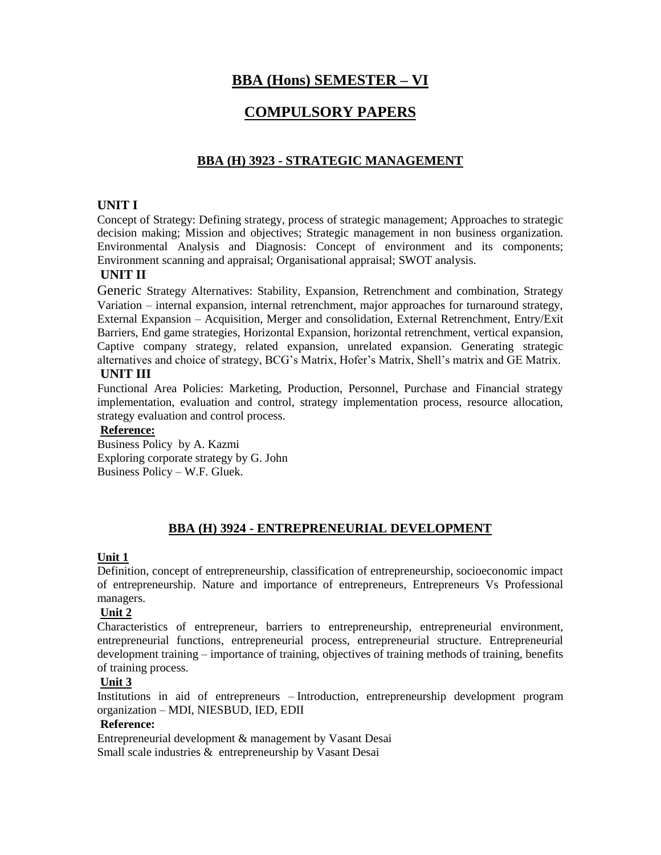# **BBA (Hons) SEMESTER – VI**

# **COMPULSORY PAPERS**

# **BBA (H) 3923 - STRATEGIC MANAGEMENT**

## **UNIT I**

Concept of Strategy: Defining strategy, process of strategic management; Approaches to strategic decision making; Mission and objectives; Strategic management in non business organization. Environmental Analysis and Diagnosis: Concept of environment and its components; Environment scanning and appraisal; Organisational appraisal; SWOT analysis.

## **UNIT II**

Generic Strategy Alternatives: Stability, Expansion, Retrenchment and combination, Strategy Variation – internal expansion, internal retrenchment, major approaches for turnaround strategy, External Expansion – Acquisition, Merger and consolidation, External Retrenchment, Entry/Exit Barriers, End game strategies, Horizontal Expansion, horizontal retrenchment, vertical expansion, Captive company strategy, related expansion, unrelated expansion. Generating strategic alternatives and choice of strategy, BCG's Matrix, Hofer's Matrix, Shell's matrix and GE Matrix.

## **UNIT III**

Functional Area Policies: Marketing, Production, Personnel, Purchase and Financial strategy implementation, evaluation and control, strategy implementation process, resource allocation, strategy evaluation and control process.

#### **Reference:**

Business Policy by A. Kazmi Exploring corporate strategy by G. John Business Policy – W.F. Gluek.

# **BBA (H) 3924 - ENTREPRENEURIAL DEVELOPMENT**

#### **Unit 1**

Definition, concept of entrepreneurship, classification of entrepreneurship, socioeconomic impact of entrepreneurship. Nature and importance of entrepreneurs, Entrepreneurs Vs Professional managers.

## **Unit 2**

Characteristics of entrepreneur, barriers to entrepreneurship, entrepreneurial environment, entrepreneurial functions, entrepreneurial process, entrepreneurial structure. Entrepreneurial development training – importance of training, objectives of training methods of training, benefits of training process.

#### **Unit 3**

Institutions in aid of entrepreneurs – Introduction, entrepreneurship development program organization – MDI, NIESBUD, IED, EDII

#### **Reference:**

Entrepreneurial development & management by Vasant Desai Small scale industries & entrepreneurship by Vasant Desai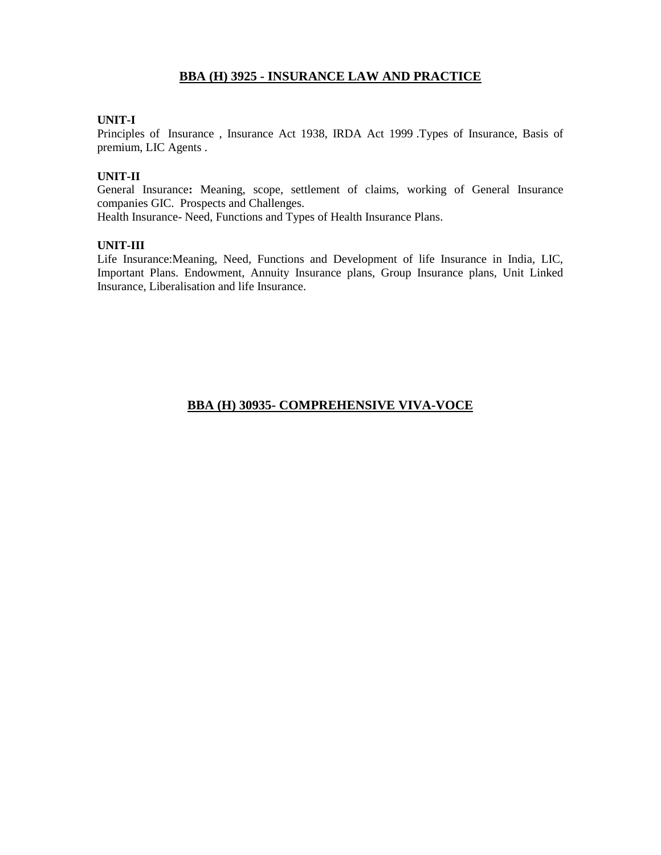## **BBA (H) 3925 - INSURANCE LAW AND PRACTICE**

#### **UNIT-I**

Principles of Insurance , Insurance Act 1938, IRDA Act 1999 .Types of Insurance, Basis of premium, LIC Agents .

#### **UNIT-II**

General Insurance**:** Meaning, scope, settlement of claims, working of General Insurance companies GIC. Prospects and Challenges.

Health Insurance- Need, Functions and Types of Health Insurance Plans.

#### **UNIT-III**

Life Insurance:Meaning, Need, Functions and Development of life Insurance in India, LIC, Important Plans. Endowment, Annuity Insurance plans, Group Insurance plans, Unit Linked Insurance, Liberalisation and life Insurance.

#### **BBA (H) 30935- COMPREHENSIVE VIVA-VOCE**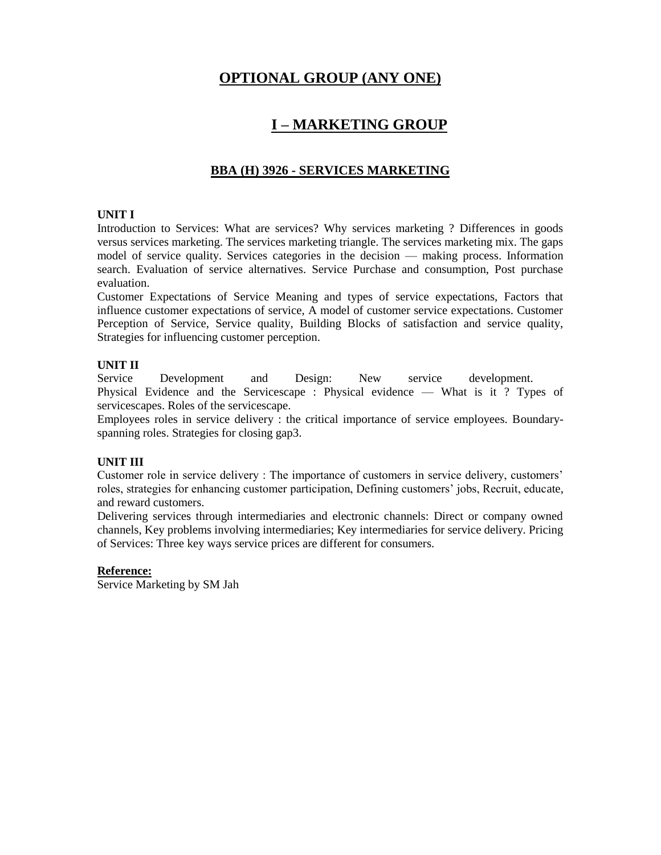# **OPTIONAL GROUP (ANY ONE)**

# **I – MARKETING GROUP**

# **BBA (H) 3926 - SERVICES MARKETING**

## **UNIT I**

Introduction to Services: What are services? Why services marketing ? Differences in goods versus services marketing. The services marketing triangle. The services marketing mix. The gaps model of service quality. Services categories in the decision — making process. Information search. Evaluation of service alternatives. Service Purchase and consumption, Post purchase evaluation.

Customer Expectations of Service Meaning and types of service expectations, Factors that influence customer expectations of service, A model of customer service expectations. Customer Perception of Service, Service quality, Building Blocks of satisfaction and service quality, Strategies for influencing customer perception.

## **UNIT II**

Service Development and Design: New service development. Physical Evidence and the Servicescape : Physical evidence — What is it ? Types of servicescapes. Roles of the servicescape.

Employees roles in service delivery : the critical importance of service employees. Boundaryspanning roles. Strategies for closing gap3.

## **UNIT III**

Customer role in service delivery : The importance of customers in service delivery, customers' roles, strategies for enhancing customer participation, Defining customers' jobs, Recruit, educate, and reward customers.

Delivering services through intermediaries and electronic channels: Direct or company owned channels, Key problems involving intermediaries; Key intermediaries for service delivery. Pricing of Services: Three key ways service prices are different for consumers.

#### **Reference:**

Service Marketing by SM Jah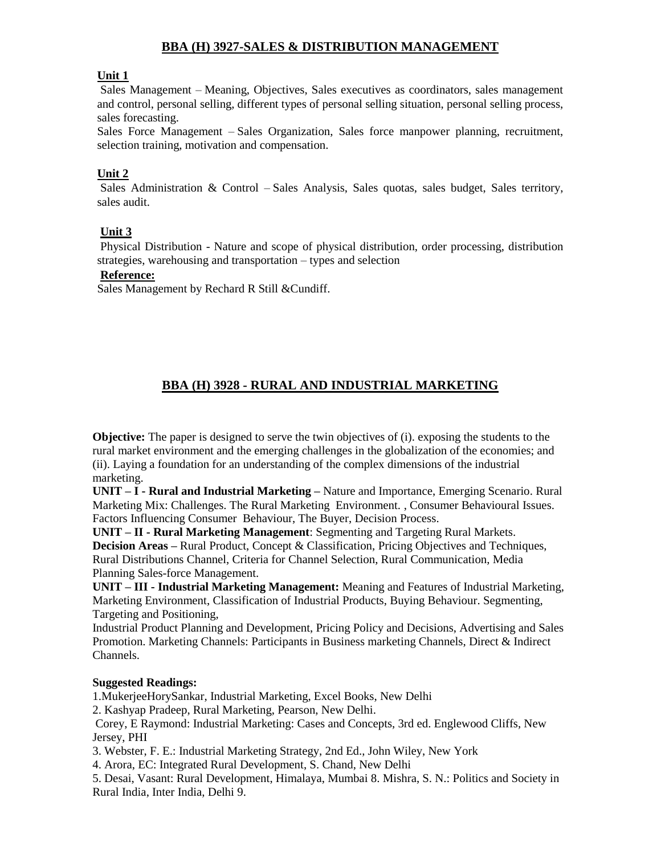# **BBA (H) 3927-SALES & DISTRIBUTION MANAGEMENT**

## **Unit 1**

Sales Management – Meaning, Objectives, Sales executives as coordinators, sales management and control, personal selling, different types of personal selling situation, personal selling process, sales forecasting.

Sales Force Management – Sales Organization, Sales force manpower planning, recruitment, selection training, motivation and compensation.

#### **Unit 2**

Sales Administration & Control – Sales Analysis, Sales quotas, sales budget, Sales territory, sales audit.

#### **Unit 3**

Physical Distribution - Nature and scope of physical distribution, order processing, distribution strategies, warehousing and transportation – types and selection

#### **Reference:**

Sales Management by Rechard R Still &Cundiff.

# **BBA (H) 3928 - RURAL AND INDUSTRIAL MARKETING**

**Objective:** The paper is designed to serve the twin objectives of (i). exposing the students to the rural market environment and the emerging challenges in the globalization of the economies; and (ii). Laying a foundation for an understanding of the complex dimensions of the industrial marketing.

**UNIT – I - Rural and Industrial Marketing –** Nature and Importance, Emerging Scenario. Rural Marketing Mix: Challenges. The Rural Marketing Environment. , Consumer Behavioural Issues. Factors Influencing Consumer Behaviour, The Buyer, Decision Process.

**UNIT – II - Rural Marketing Management**: Segmenting and Targeting Rural Markets. **Decision Areas –** Rural Product, Concept & Classification, Pricing Objectives and Techniques, Rural Distributions Channel, Criteria for Channel Selection, Rural Communication, Media Planning Sales-force Management.

**UNIT – III - Industrial Marketing Management:** Meaning and Features of Industrial Marketing, Marketing Environment, Classification of Industrial Products, Buying Behaviour. Segmenting, Targeting and Positioning,

Industrial Product Planning and Development, Pricing Policy and Decisions, Advertising and Sales Promotion. Marketing Channels: Participants in Business marketing Channels, Direct & Indirect Channels.

#### **Suggested Readings:**

1.MukerjeeHorySankar, Industrial Marketing, Excel Books, New Delhi

2. Kashyap Pradeep, Rural Marketing, Pearson, New Delhi.

Corey, E Raymond: Industrial Marketing: Cases and Concepts, 3rd ed. Englewood Cliffs, New Jersey, PHI

3. Webster, F. E.: Industrial Marketing Strategy, 2nd Ed., John Wiley, New York

4. Arora, EC: Integrated Rural Development, S. Chand, New Delhi

5. Desai, Vasant: Rural Development, Himalaya, Mumbai 8. Mishra, S. N.: Politics and Society in Rural India, Inter India, Delhi 9.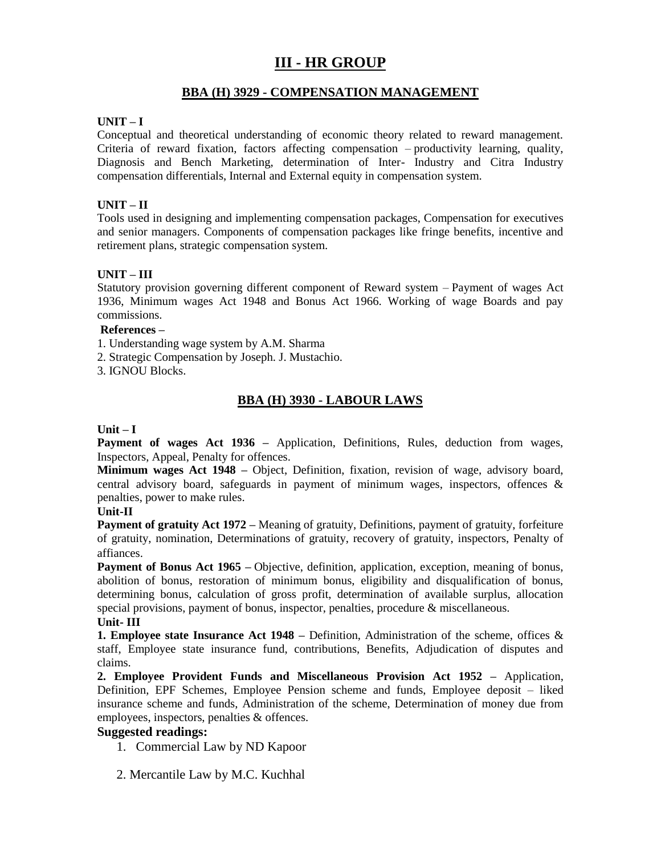# **III - HR GROUP**

## **BBA (H) 3929 - COMPENSATION MANAGEMENT**

#### **UNIT – I**

Conceptual and theoretical understanding of economic theory related to reward management. Criteria of reward fixation, factors affecting compensation – productivity learning, quality, Diagnosis and Bench Marketing, determination of Inter- Industry and Citra Industry compensation differentials, Internal and External equity in compensation system.

#### **UNIT – II**

Tools used in designing and implementing compensation packages, Compensation for executives and senior managers. Components of compensation packages like fringe benefits, incentive and retirement plans, strategic compensation system.

#### **UNIT – III**

Statutory provision governing different component of Reward system – Payment of wages Act 1936, Minimum wages Act 1948 and Bonus Act 1966. Working of wage Boards and pay commissions.

#### **References –**

1. Understanding wage system by A.M. Sharma

2. Strategic Compensation by Joseph. J. Mustachio.

3. IGNOU Blocks.

## **BBA (H) 3930 - LABOUR LAWS**

#### **Unit – I**

**Payment of wages Act 1936 –** Application, Definitions, Rules, deduction from wages, Inspectors, Appeal, Penalty for offences.

**Minimum wages Act 1948 –** Object, Definition, fixation, revision of wage, advisory board, central advisory board, safeguards in payment of minimum wages, inspectors, offences & penalties, power to make rules.

#### **Unit-II**

**Payment of gratuity Act 1972 –** Meaning of gratuity, Definitions, payment of gratuity, forfeiture of gratuity, nomination, Determinations of gratuity, recovery of gratuity, inspectors, Penalty of affiances.

**Payment of Bonus Act 1965** – Objective, definition, application, exception, meaning of bonus, abolition of bonus, restoration of minimum bonus, eligibility and disqualification of bonus, determining bonus, calculation of gross profit, determination of available surplus, allocation special provisions, payment of bonus, inspector, penalties, procedure & miscellaneous.

#### **Unit- III**

**1. Employee state Insurance Act 1948 –** Definition, Administration of the scheme, offices & staff, Employee state insurance fund, contributions, Benefits, Adjudication of disputes and claims.

**2. Employee Provident Funds and Miscellaneous Provision Act 1952 –** Application, Definition, EPF Schemes, Employee Pension scheme and funds, Employee deposit – liked insurance scheme and funds, Administration of the scheme, Determination of money due from employees, inspectors, penalties & offences.

#### **Suggested readings:**

- 1. Commercial Law by ND Kapoor
- 2. Mercantile Law by M.C. Kuchhal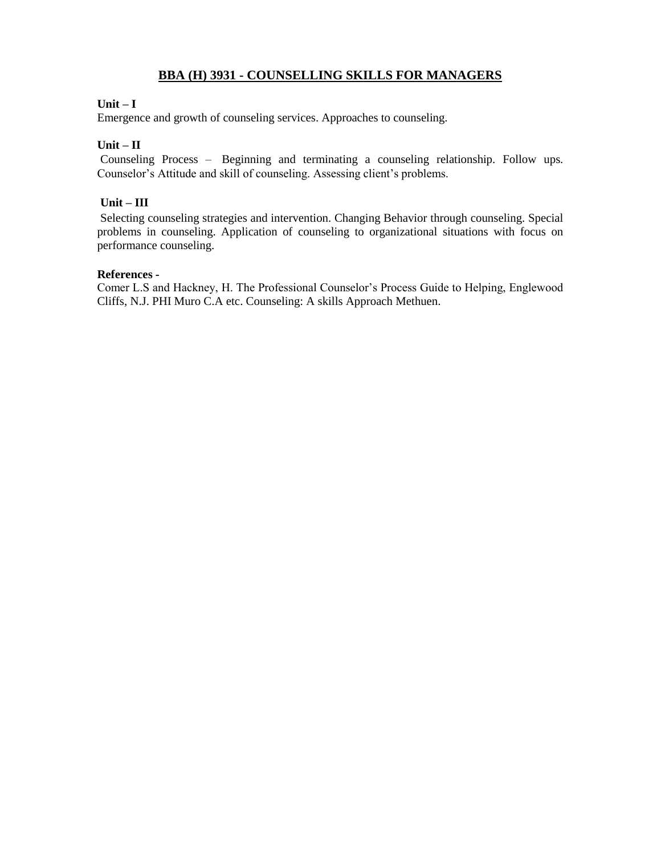# **BBA (H) 3931 - COUNSELLING SKILLS FOR MANAGERS**

#### **Unit – I**

Emergence and growth of counseling services. Approaches to counseling.

#### **Unit – II**

Counseling Process – Beginning and terminating a counseling relationship. Follow ups. Counselor's Attitude and skill of counseling. Assessing client's problems.

#### **Unit – III**

Selecting counseling strategies and intervention. Changing Behavior through counseling. Special problems in counseling. Application of counseling to organizational situations with focus on performance counseling.

#### **References -**

Comer L.S and Hackney, H. The Professional Counselor's Process Guide to Helping, Englewood Cliffs, N.J. PHI Muro C.A etc. Counseling: A skills Approach Methuen.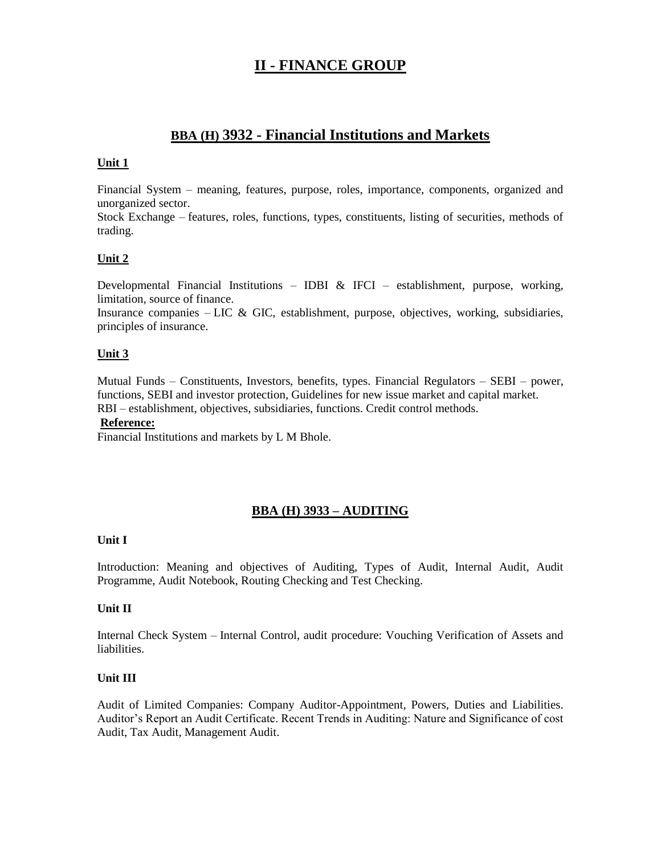# **II - FINANCE GROUP**

# **BBA (H) 3932 - Financial Institutions and Markets**

#### **Unit 1**

Financial System – meaning, features, purpose, roles, importance, components, organized and unorganized sector.

Stock Exchange – features, roles, functions, types, constituents, listing of securities, methods of trading.

## **Unit 2**

Developmental Financial Institutions – IDBI & IFCI – establishment, purpose, working, limitation, source of finance.

Insurance companies  $-LIC \& GL$ , establishment, purpose, objectives, working, subsidiaries, principles of insurance.

## **Unit 3**

Mutual Funds – Constituents, Investors, benefits, types. Financial Regulators – SEBI – power, functions, SEBI and investor protection, Guidelines for new issue market and capital market. RBI – establishment, objectives, subsidiaries, functions. Credit control methods.

#### **Reference:**

Financial Institutions and markets by L M Bhole.

# **BBA (H) 3933 – AUDITING**

#### **Unit I**

Introduction: Meaning and objectives of Auditing, Types of Audit, Internal Audit, Audit Programme, Audit Notebook, Routing Checking and Test Checking.

#### **Unit II**

Internal Check System – Internal Control, audit procedure: Vouching Verification of Assets and liabilities.

#### **Unit III**

Audit of Limited Companies: Company Auditor-Appointment, Powers, Duties and Liabilities. Auditor's Report an Audit Certificate. Recent Trends in Auditing: Nature and Significance of cost Audit, Tax Audit, Management Audit.